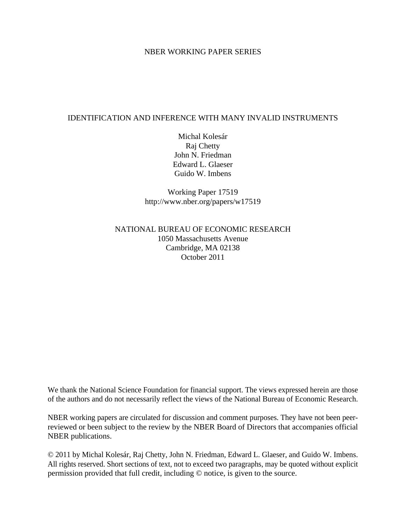### NBER WORKING PAPER SERIES

### IDENTIFICATION AND INFERENCE WITH MANY INVALID INSTRUMENTS

Michal Kolesár Raj Chetty John N. Friedman Edward L. Glaeser Guido W. Imbens

Working Paper 17519 http://www.nber.org/papers/w17519

### NATIONAL BUREAU OF ECONOMIC RESEARCH 1050 Massachusetts Avenue Cambridge, MA 02138 October 2011

We thank the National Science Foundation for financial support. The views expressed herein are those of the authors and do not necessarily reflect the views of the National Bureau of Economic Research.

NBER working papers are circulated for discussion and comment purposes. They have not been peerreviewed or been subject to the review by the NBER Board of Directors that accompanies official NBER publications.

© 2011 by Michal Kolesár, Raj Chetty, John N. Friedman, Edward L. Glaeser, and Guido W. Imbens. All rights reserved. Short sections of text, not to exceed two paragraphs, may be quoted without explicit permission provided that full credit, including © notice, is given to the source.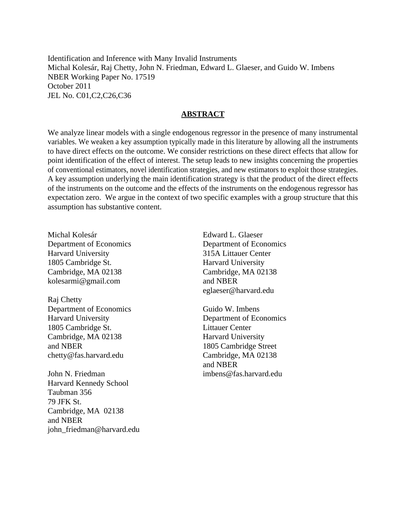Identification and Inference with Many Invalid Instruments Michal Kolesár, Raj Chetty, John N. Friedman, Edward L. Glaeser, and Guido W. Imbens NBER Working Paper No. 17519 October 2011 JEL No. C01,C2,C26,C36

### **ABSTRACT**

We analyze linear models with a single endogenous regressor in the presence of many instrumental variables. We weaken a key assumption typically made in this literature by allowing all the instruments to have direct effects on the outcome. We consider restrictions on these direct effects that allow for point identification of the effect of interest. The setup leads to new insights concerning the properties of conventional estimators, novel identification strategies, and new estimators to exploit those strategies. A key assumption underlying the main identification strategy is that the product of the direct effects of the instruments on the outcome and the effects of the instruments on the endogenous regressor has expectation zero. We argue in the context of two specific examples with a group structure that this assumption has substantive content.

Michal Kolesár Department of Economics Harvard University 1805 Cambridge St. Cambridge, MA 02138 kolesarmi@gmail.com

Raj Chetty Department of Economics Harvard University 1805 Cambridge St. Cambridge, MA 02138 and NBER chetty@fas.harvard.edu

John N. Friedman Harvard Kennedy School Taubman 356 79 JFK St. Cambridge, MA 02138 and NBER john\_friedman@harvard.edu

Edward L. Glaeser Department of Economics 315A Littauer Center Harvard University Cambridge, MA 02138 and NBER eglaeser@harvard.edu

Guido W. Imbens Department of Economics Littauer Center Harvard University 1805 Cambridge Street Cambridge, MA 02138 and NBER imbens@fas.harvard.edu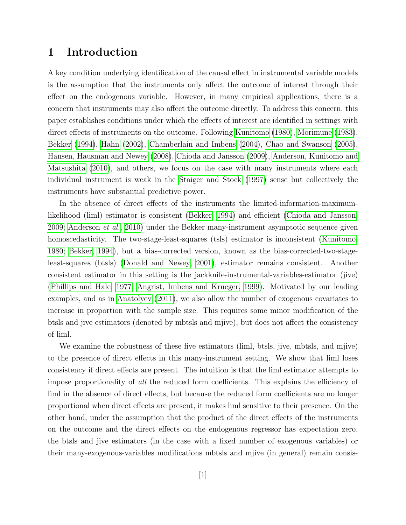## 1 Introduction

A key condition underlying identification of the causal effect in instrumental variable models is the assumption that the instruments only affect the outcome of interest through their effect on the endogenous variable. However, in many empirical applications, there is a concern that instruments may also affect the outcome directly. To address this concern, this paper establishes conditions under which the effects of interest are identified in settings with direct effects of instruments on the outcome. Following [Kunitomo \(1980\)](#page-41-0), [Morimune \(1983\)](#page-41-1), [Bekker \(1994\)](#page-39-0), [Hahn \(2002\)](#page-41-2), [Chamberlain and Imbens \(2004\)](#page-40-0), [Chao and Swanson \(2005\)](#page-40-1), [Hansen, Hausman and Newey \(2008\)](#page-41-3), [Chioda and Jansson \(2009\)](#page-40-2), [Anderson, Kunitomo and](#page-39-1) [Matsushita \(2010\)](#page-39-1), and others, we focus on the case with many instruments where each individual instrument is weak in the [Staiger and Stock \(1997\)](#page-42-0) sense but collectively the instruments have substantial predictive power.

In the absence of direct effects of the instruments the limited-information-maximumlikelihood (liml) estimator is consistent [\(Bekker, 1994\)](#page-39-0) and efficient [\(Chioda and Jansson,](#page-40-2) [2009;](#page-40-2) [Anderson](#page-39-1) et al., [2010\)](#page-39-1) under the Bekker many-instrument asymptotic sequence given homoscedasticity. The two-stage-least-squares (tsls) estimator is inconsistent [\(Kunitomo,](#page-41-0) [1980;](#page-41-0) [Bekker, 1994\)](#page-39-0), but a bias-corrected version, known as the bias-corrected-two-stageleast-squares (btsls) [\(Donald and Newey, 2001\)](#page-40-3), estimator remains consistent. Another consistent estimator in this setting is the jackknife-instrumental-variables-estimator (jive) [\(Phillips and Hale, 1977;](#page-42-1) [Angrist, Imbens and Krueger, 1999\)](#page-39-2). Motivated by our leading examples, and as in [Anatolyev \(2011\)](#page-39-3), we also allow the number of exogenous covariates to increase in proportion with the sample size. This requires some minor modification of the btsls and jive estimators (denoted by mbtsls and mjive), but does not affect the consistency of liml.

We examine the robustness of these five estimators (liml, btsls, jive, mbtsls, and mjive) to the presence of direct effects in this many-instrument setting. We show that liml loses consistency if direct effects are present. The intuition is that the liml estimator attempts to impose proportionality of all the reduced form coefficients. This explains the efficiency of liml in the absence of direct effects, but because the reduced form coefficients are no longer proportional when direct effects are present, it makes liml sensitive to their presence. On the other hand, under the assumption that the product of the direct effects of the instruments on the outcome and the direct effects on the endogenous regressor has expectation zero, the btsls and jive estimators (in the case with a fixed number of exogenous variables) or their many-exogenous-variables modifications mbtsls and mjive (in general) remain consis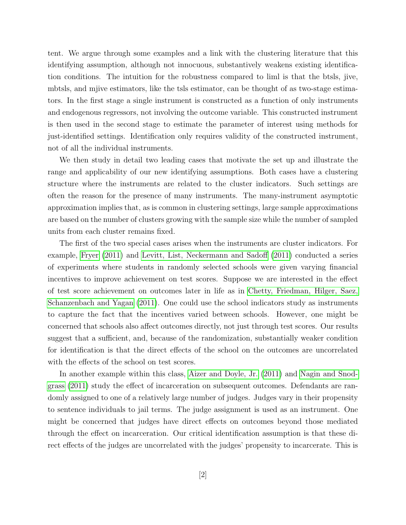tent. We argue through some examples and a link with the clustering literature that this identifying assumption, although not innocuous, substantively weakens existing identification conditions. The intuition for the robustness compared to liml is that the btsls, jive, mbtsls, and mjive estimators, like the tsls estimator, can be thought of as two-stage estimators. In the first stage a single instrument is constructed as a function of only instruments and endogenous regressors, not involving the outcome variable. This constructed instrument is then used in the second stage to estimate the parameter of interest using methods for just-identified settings. Identification only requires validity of the constructed instrument, not of all the individual instruments.

We then study in detail two leading cases that motivate the set up and illustrate the range and applicability of our new identifying assumptions. Both cases have a clustering structure where the instruments are related to the cluster indicators. Such settings are often the reason for the presence of many instruments. The many-instrument asymptotic approximation implies that, as is common in clustering settings, large sample approximations are based on the number of clusters growing with the sample size while the number of sampled units from each cluster remains fixed.

The first of the two special cases arises when the instruments are cluster indicators. For example, [Fryer \(2011\)](#page-41-4) and [Levitt, List, Neckermann and Sadoff \(2011\)](#page-41-5) conducted a series of experiments where students in randomly selected schools were given varying financial incentives to improve achievement on test scores. Suppose we are interested in the effect of test score achievement on outcomes later in life as in [Chetty, Friedman, Hilger, Saez,](#page-40-4) [Schanzenbach and Yagan \(2011\)](#page-40-4). One could use the school indicators study as instruments to capture the fact that the incentives varied between schools. However, one might be concerned that schools also affect outcomes directly, not just through test scores. Our results suggest that a sufficient, and, because of the randomization, substantially weaker condition for identification is that the direct effects of the school on the outcomes are uncorrelated with the effects of the school on test scores.

In another example within this class, [Aizer and Doyle, Jr. \(2011\)](#page-39-4) and [Nagin and Snod](#page-42-2)[grass \(2011\)](#page-42-2) study the effect of incarceration on subsequent outcomes. Defendants are randomly assigned to one of a relatively large number of judges. Judges vary in their propensity to sentence individuals to jail terms. The judge assignment is used as an instrument. One might be concerned that judges have direct effects on outcomes beyond those mediated through the effect on incarceration. Our critical identification assumption is that these direct effects of the judges are uncorrelated with the judges' propensity to incarcerate. This is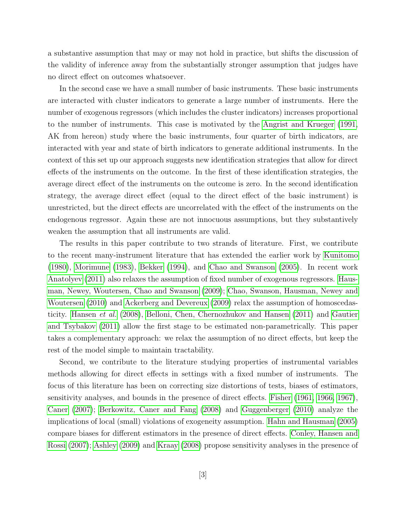a substantive assumption that may or may not hold in practice, but shifts the discussion of the validity of inference away from the substantially stronger assumption that judges have no direct effect on outcomes whatsoever.

In the second case we have a small number of basic instruments. These basic instruments are interacted with cluster indicators to generate a large number of instruments. Here the number of exogenous regressors (which includes the cluster indicators) increases proportional to the number of instruments. This case is motivated by the [Angrist and Krueger \(1991,](#page-39-5) AK from hereon) study where the basic instruments, four quarter of birth indicators, are interacted with year and state of birth indicators to generate additional instruments. In the context of this set up our approach suggests new identification strategies that allow for direct effects of the instruments on the outcome. In the first of these identification strategies, the average direct effect of the instruments on the outcome is zero. In the second identification strategy, the average direct effect (equal to the direct effect of the basic instrument) is unrestricted, but the direct effects are uncorrelated with the effect of the instruments on the endogenous regressor. Again these are not innocuous assumptions, but they substantively weaken the assumption that all instruments are valid.

The results in this paper contribute to two strands of literature. First, we contribute to the recent many-instrument literature that has extended the earlier work by [Kunitomo](#page-41-0) [\(1980\)](#page-41-0), [Morimune \(1983\)](#page-41-1), [Bekker \(1994\)](#page-39-0), and [Chao and Swanson \(2005\)](#page-40-1). In recent work [Anatolyev \(2011\)](#page-39-3) also relaxes the assumption of fixed number of exogenous regressors. [Haus](#page-41-6)[man, Newey, Woutersen, Chao and Swanson \(2009\)](#page-41-6); [Chao, Swanson, Hausman, Newey and](#page-40-5) [Woutersen \(2010\)](#page-40-5) and [Ackerberg and Devereux \(2009\)](#page-39-6) relax the assumption of homoscedasticity. [Hansen](#page-41-3) et al. [\(2008\)](#page-41-3), [Belloni, Chen, Chernozhukov and Hansen \(2011\)](#page-40-6) and [Gautier](#page-41-7) [and Tsybakov \(2011\)](#page-41-7) allow the first stage to be estimated non-parametrically. This paper takes a complementary approach: we relax the assumption of no direct effects, but keep the rest of the model simple to maintain tractability.

Second, we contribute to the literature studying properties of instrumental variables methods allowing for direct effects in settings with a fixed number of instruments. The focus of this literature has been on correcting size distortions of tests, biases of estimators, sensitivity analyses, and bounds in the presence of direct effects. [Fisher \(1961,](#page-40-7) [1966,](#page-40-8) [1967\)](#page-41-8), [Caner \(2007\)](#page-40-9); [Berkowitz, Caner and Fang \(2008\)](#page-40-10) and [Guggenberger \(2010\)](#page-41-9) analyze the implications of local (small) violations of exogeneity assumption. [Hahn and Hausman \(2005\)](#page-41-10) compare biases for different estimators in the presence of direct effects. [Conley, Hansen and](#page-40-11) [Rossi \(2007\)](#page-40-11); [Ashley \(2009\)](#page-39-7) and [Kraay \(2008\)](#page-41-11) propose sensitivity analyses in the presence of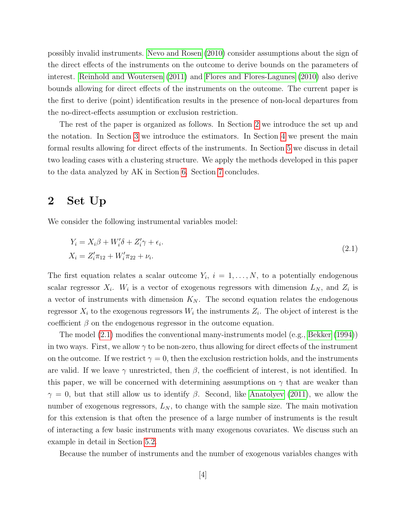possibly invalid instruments. [Nevo and Rosen \(2010\)](#page-42-3) consider assumptions about the sign of the direct effects of the instruments on the outcome to derive bounds on the parameters of interest. [Reinhold and Woutersen \(2011\)](#page-42-4) and [Flores and Flores-Lagunes \(2010\)](#page-41-12) also derive bounds allowing for direct effects of the instruments on the outcome. The current paper is the first to derive (point) identification results in the presence of non-local departures from the no-direct-effects assumption or exclusion restriction.

The rest of the paper is organized as follows. In Section [2](#page-5-0) we introduce the set up and the notation. In Section [3](#page-7-0) we introduce the estimators. In Section [4](#page-9-0) we present the main formal results allowing for direct effects of the instruments. In Section [5](#page-14-0) we discuss in detail two leading cases with a clustering structure. We apply the methods developed in this paper to the data analyzed by AK in Section [6.](#page-19-0) Section [7](#page-21-0) concludes.

## <span id="page-5-0"></span>2 Set Up

We consider the following instrumental variables model:

<span id="page-5-1"></span>
$$
Y_i = X_i \beta + W'_i \delta + Z'_i \gamma + \epsilon_i.
$$
  
\n
$$
X_i = Z'_i \pi_{12} + W'_i \pi_{22} + \nu_i.
$$
\n(2.1)

The first equation relates a scalar outcome  $Y_i$ ,  $i = 1, \ldots, N$ , to a potentially endogenous scalar regressor  $X_i$ .  $W_i$  is a vector of exogenous regressors with dimension  $L_N$ , and  $Z_i$  is a vector of instruments with dimension  $K_N$ . The second equation relates the endogenous regressor  $X_i$  to the exogenous regressors  $W_i$  the instruments  $Z_i$ . The object of interest is the coefficient  $\beta$  on the endogenous regressor in the outcome equation.

The model [\(2.1\)](#page-5-1) modifies the conventional many-instruments model (e.g., [Bekker \(1994\)](#page-39-0)) in two ways. First, we allow  $\gamma$  to be non-zero, thus allowing for direct effects of the instrument on the outcome. If we restrict  $\gamma = 0$ , then the exclusion restriction holds, and the instruments are valid. If we leave  $\gamma$  unrestricted, then  $\beta$ , the coefficient of interest, is not identified. In this paper, we will be concerned with determining assumptions on  $\gamma$  that are weaker than  $\gamma = 0$ , but that still allow us to identify  $\beta$ . Second, like [Anatolyev \(2011\)](#page-39-3), we allow the number of exogenous regressors,  $L_N$ , to change with the sample size. The main motivation for this extension is that often the presence of a large number of instruments is the result of interacting a few basic instruments with many exogenous covariates. We discuss such an example in detail in Section [5.2.](#page-17-0)

Because the number of instruments and the number of exogenous variables changes with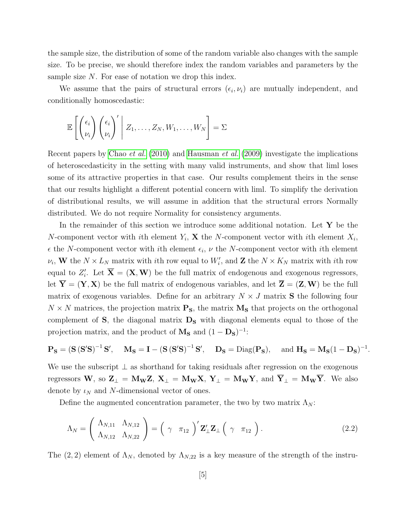the sample size, the distribution of some of the random variable also changes with the sample size. To be precise, we should therefore index the random variables and parameters by the sample size  $N$ . For ease of notation we drop this index.

We assume that the pairs of structural errors  $(\epsilon_i, \nu_i)$  are mutually independent, and conditionally homoscedastic:

$$
\mathbb{E}\left[\begin{pmatrix} \epsilon_i \\ \nu_i \end{pmatrix} \begin{pmatrix} \epsilon_i \\ \nu_i \end{pmatrix}'\middle| Z_1,\ldots,Z_N,W_1,\ldots,W_N\right] = \Sigma
$$

Recent papers by [Chao](#page-40-5) et al. [\(2010\)](#page-40-5) and [Hausman](#page-41-6) et al. [\(2009\)](#page-41-6) investigate the implications of heteroscedasticity in the setting with many valid instruments, and show that liml loses some of its attractive properties in that case. Our results complement theirs in the sense that our results highlight a different potential concern with liml. To simplify the derivation of distributional results, we will assume in addition that the structural errors Normally distributed. We do not require Normality for consistency arguments.

In the remainder of this section we introduce some additional notation. Let  $Y$  be the N-component vector with ith element  $Y_i$ , **X** the N-component vector with ith element  $X_i$ ,  $\epsilon$  the N-component vector with ith element  $\epsilon_i$ ,  $\nu$  the N-component vector with ith element  $\nu_i$ , W the  $N \times L_N$  matrix with *i*th row equal to  $W'_i$ , and Z the  $N \times K_N$  matrix with *i*th row equal to  $Z_i'$ . Let  $\overline{\mathbf{X}} = (\mathbf{X}, \mathbf{W})$  be the full matrix of endogenous and exogenous regressors, let  $\overline{Y} = (Y, X)$  be the full matrix of endogenous variables, and let  $\overline{Z} = (Z, W)$  be the full matrix of exogenous variables. Define for an arbitrary  $N \times J$  matrix S the following four  $N \times N$  matrices, the projection matrix  $\mathbf{P}_\mathbf{S}$ , the matrix  $\mathbf{M}_\mathbf{S}$  that projects on the orthogonal complement of  $S$ , the diagonal matrix  $D_S$  with diagonal elements equal to those of the projection matrix, and the product of  $M_s$  and  $(1 - D_s)^{-1}$ :

$$
\mathbf{P_S} = (\mathbf{S}(\mathbf{S'S})^{-1}\mathbf{S'}, \quad \mathbf{M_S} = \mathbf{I} - (\mathbf{S}(\mathbf{S'S})^{-1}\mathbf{S'}, \quad \mathbf{D_S} = \text{Diag}(\mathbf{P_S}), \quad \text{and } \mathbf{H_S} = \mathbf{M_S}(1 - \mathbf{D_S})^{-1}
$$

.

We use the subscript  $\perp$  as shorthand for taking residuals after regression on the exogenous regressors W, so  $\mathbf{Z}_{\perp} = \mathbf{M}_{\mathbf{W}} \mathbf{Z}, \mathbf{X}_{\perp} = \mathbf{M}_{\mathbf{W}} \mathbf{X}, \mathbf{Y}_{\perp} = \mathbf{M}_{\mathbf{W}} \mathbf{Y}, \text{ and } \overline{\mathbf{Y}}_{\perp} = \mathbf{M}_{\mathbf{W}} \overline{\mathbf{Y}}.$  We also denote by  $\iota_N$  and N-dimensional vector of ones.

Define the augmented concentration parameter, the two by two matrix  $\Lambda_N$ :

$$
\Lambda_N = \left(\begin{array}{cc} \Lambda_{N,11} & \Lambda_{N,12} \\ \Lambda_{N,12} & \Lambda_{N,22} \end{array}\right) = \left(\begin{array}{cc} \gamma & \pi_{12} \end{array}\right)' \mathbf{Z}'_{\perp} \mathbf{Z}_{\perp} \left(\begin{array}{cc} \gamma & \pi_{12} \end{array}\right). \tag{2.2}
$$

The  $(2, 2)$  element of  $\Lambda_N$ , denoted by  $\Lambda_{N,22}$  is a key measure of the strength of the instru-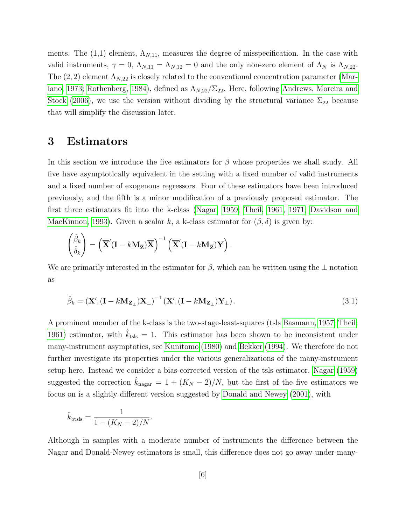ments. The  $(1,1)$  element,  $\Lambda_{N,11}$ , measures the degree of misspecification. In the case with valid instruments,  $\gamma = 0$ ,  $\Lambda_{N,11} = \Lambda_{N,12} = 0$  and the only non-zero element of  $\Lambda_N$  is  $\Lambda_{N,22}$ . The  $(2, 2)$  element  $\Lambda_{N,22}$  is closely related to the conventional concentration parameter [\(Mar](#page-41-13)[iano, 1973;](#page-41-13) [Rothenberg, 1984\)](#page-42-5), defined as  $\Lambda_{N,22}/\Sigma_{22}$ . Here, following [Andrews, Moreira and](#page-39-8) [Stock \(2006\)](#page-39-8), we use the version without dividing by the structural variance  $\Sigma_{22}$  because that will simplify the discussion later.

## <span id="page-7-0"></span>3 Estimators

In this section we introduce the five estimators for  $\beta$  whose properties we shall study. All five have asymptotically equivalent in the setting with a fixed number of valid instruments and a fixed number of exogenous regressors. Four of these estimators have been introduced previously, and the fifth is a minor modification of a previously proposed estimator. The first three estimators fit into the k-class [\(Nagar, 1959;](#page-42-6) [Theil, 1961,](#page-42-7) [1971;](#page-42-8) [Davidson and](#page-40-12) [MacKinnon, 1993\)](#page-40-12). Given a scalar k, a k-class estimator for  $(\beta, \delta)$  is given by:

$$
\begin{pmatrix} \hat{\beta}_k \\ \hat{\delta}_k \end{pmatrix} = \left( \overline{\mathbf{X}}' (\mathbf{I} - k \mathbf{M}_{\overline{\mathbf{Z}}}) \overline{\mathbf{X}} \right)^{-1} \left( \overline{\mathbf{X}}' (\mathbf{I} - k \mathbf{M}_{\overline{\mathbf{Z}}}) \mathbf{Y} \right).
$$

We are primarily interested in the estimator for  $\beta$ , which can be written using the  $\bot$  notation as

$$
\hat{\beta}_k = \left(\mathbf{X}'_\perp (\mathbf{I} - k \mathbf{M}_{\mathbf{Z}_\perp}) \mathbf{X}_\perp\right)^{-1} \left(\mathbf{X}'_\perp (\mathbf{I} - k \mathbf{M}_{\mathbf{Z}_\perp}) \mathbf{Y}_\perp\right).
$$
\n(3.1)

A prominent member of the k-class is the two-stage-least-squares (tsls [Basmann, 1957;](#page-39-9) [Theil,](#page-42-7) [1961\)](#page-42-7) estimator, with  $k_{\text{tsls}} = 1$ . This estimator has been shown to be inconsistent under many-instrument asymptotics, see [Kunitomo \(1980\)](#page-41-0) and [Bekker \(1994\)](#page-39-0). We therefore do not further investigate its properties under the various generalizations of the many-instrument setup here. Instead we consider a bias-corrected version of the tsls estimator. [Nagar \(1959\)](#page-42-6) suggested the correction  $k_{\text{nagar}} = 1 + (K_N - 2)/N$ , but the first of the five estimators we focus on is a slightly different version suggested by [Donald and Newey \(2001\)](#page-40-3), with

$$
\hat{k}_{\text{btsls}} = \frac{1}{1 - (K_N - 2)/N}.
$$

Although in samples with a moderate number of instruments the difference between the Nagar and Donald-Newey estimators is small, this difference does not go away under many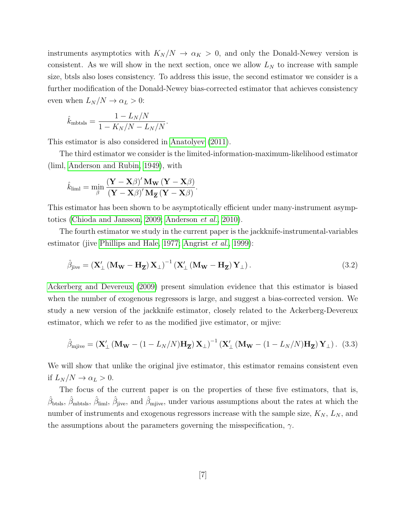instruments asymptotics with  $K_N/N \to \alpha_K > 0$ , and only the Donald-Newey version is consistent. As we will show in the next section, once we allow  $L<sub>N</sub>$  to increase with sample size, btsls also loses consistency. To address this issue, the second estimator we consider is a further modification of the Donald-Newey bias-corrected estimator that achieves consistency even when  $L_N/N \to \alpha_L > 0$ :

$$
\hat{k}_{\text{mbtsls}} = \frac{1 - L_N/N}{1 - K_N/N - L_N/N}.
$$

This estimator is also considered in [Anatolyev \(2011\)](#page-39-3).

The third estimator we consider is the limited-information-maximum-likelihood estimator (liml, [Anderson and Rubin, 1949\)](#page-39-10), with

$$
\hat{k}_{\text{liml}} = \min_{\beta} \frac{(\mathbf{Y} - \mathbf{X}\beta)' \mathbf{M}_{\mathbf{W}} (\mathbf{Y} - \mathbf{X}\beta)}{(\mathbf{Y} - \mathbf{X}\beta)' \mathbf{M}_{\overline{\mathbf{Z}}} (\mathbf{Y} - \mathbf{X}\beta)}.
$$

This estimator has been shown to be asymptotically efficient under many-instrument asymptotics [\(Chioda and Jansson, 2009;](#page-40-2) [Anderson](#page-39-1) et al., [2010\)](#page-39-1).

The fourth estimator we study in the current paper is the jackknife-instrumental-variables estimator (jive [Phillips and Hale, 1977;](#page-42-1) [Angrist](#page-39-2) *et al.*, [1999\)](#page-39-2):

$$
\hat{\beta}_{\text{jive}} = \left(\mathbf{X}_{\perp}^{\prime} \left(\mathbf{M}_{\mathbf{W}} - \mathbf{H}_{\overline{\mathbf{Z}}}\right) \mathbf{X}_{\perp}\right)^{-1} \left(\mathbf{X}_{\perp}^{\prime} \left(\mathbf{M}_{\mathbf{W}} - \mathbf{H}_{\overline{\mathbf{Z}}}\right) \mathbf{Y}_{\perp}\right).
$$
\n(3.2)

[Ackerberg and Devereux \(2009\)](#page-39-6) present simulation evidence that this estimator is biased when the number of exogenous regressors is large, and suggest a bias-corrected version. We study a new version of the jackknife estimator, closely related to the Ackerberg-Devereux estimator, which we refer to as the modified jive estimator, or mjive:

$$
\hat{\beta}_{mjive} = \left(\mathbf{X}_{\perp}^{\prime} \left(\mathbf{M_W} - (1 - L_N/N)\mathbf{H}_{\overline{\mathbf{Z}}}\right) \mathbf{X}_{\perp}\right)^{-1} \left(\mathbf{X}_{\perp}^{\prime} \left(\mathbf{M_W} - (1 - L_N/N)\mathbf{H}_{\overline{\mathbf{Z}}}\right) \mathbf{Y}_{\perp}\right). (3.3)
$$

We will show that unlike the original jive estimator, this estimator remains consistent even if  $L_N/N \to \alpha_L > 0$ .

The focus of the current paper is on the properties of these five estimators, that is,  $\hat{\beta}_{\text{btsls}}, \hat{\beta}_{\text{mbtsls}}, \hat{\beta}_{\text{liml}}, \hat{\beta}_{\text{jive}}$ , and  $\hat{\beta}_{\text{mijve}}$ , under various assumptions about the rates at which the number of instruments and exogenous regressors increase with the sample size,  $K_N$ ,  $L_N$ , and the assumptions about the parameters governing the misspecification,  $\gamma$ .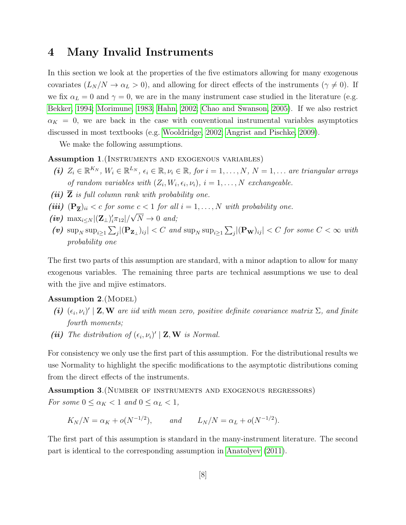## <span id="page-9-0"></span>4 Many Invalid Instruments

In this section we look at the properties of the five estimators allowing for many exogenous covariates  $(L_N/N \to \alpha_L > 0)$ , and allowing for direct effects of the instruments  $(\gamma \neq 0)$ . If we fix  $\alpha_L = 0$  and  $\gamma = 0$ , we are in the many instrument case studied in the literature (e.g. [Bekker, 1994;](#page-39-0) [Morimune, 1983;](#page-41-1) [Hahn, 2002;](#page-41-2) [Chao and Swanson, 2005\)](#page-40-1). If we also restrict  $\alpha_K = 0$ , we are back in the case with conventional instrumental variables asymptotics discussed in most textbooks (e.g. [Wooldridge, 2002;](#page-42-9) [Angrist and Pischke, 2009\)](#page-39-11).

<span id="page-9-2"></span>We make the following assumptions.

### <span id="page-9-3"></span>Assumption 1.(Instruments and exogenous variables)

- (i)  $Z_i \in \mathbb{R}^{K_N}$ ,  $W_i \in \mathbb{R}^{L_N}$ ,  $\epsilon_i \in \mathbb{R}$ ,  $\nu_i \in \mathbb{R}$ , for  $i = 1, ..., N$ ,  $N = 1, ...$  are triangular arrays of random variables with  $(Z_i, W_i, \epsilon_i, \nu_i)$ ,  $i = 1, ..., N$  exchangeable.
- (ii)  $\overline{Z}$  is full column rank with probability one.
- <span id="page-9-4"></span>(iii)  $(\mathbf{P}_{\overline{\mathbf{Z}}})_{ii} < c$  for some  $c < 1$  for all  $i = 1, ..., N$  with probability one.
- $(iv)$  max<sub>i $\leq N |(\mathbf{Z}_{\perp})'_i \pi_{12}| / \sqrt{N} \to 0$  and;</sub>
- $(v)$  sup<sub>N</sub> sup<sub>i</sub><sub>21</sub>  $\sum_j |(\mathbf{P}_{\mathbf{Z}_{\perp}})_{ij}| < C$  and sup<sub>N</sub> sup<sub>i</sub><sub>21</sub>  $\sum_j |(\mathbf{P}_{\mathbf{W}})_{ij}| < C$  for some  $C < \infty$  with probability one

The first two parts of this assumption are standard, with a minor adaption to allow for many exogenous variables. The remaining three parts are technical assumptions we use to deal with the jive and mjive estimators.

### <span id="page-9-6"></span>Assumption  $2.$  (MODEL)

- <span id="page-9-5"></span>(i)  $(\epsilon_i, \nu_i)' \mid \mathbf{Z}, \mathbf{W}$  are iid with mean zero, positive definite covariance matrix  $\Sigma$ , and finite fourth moments;
- <span id="page-9-8"></span>(ii) The distribution of  $(\epsilon_i, \nu_i)' \mid \mathbf{Z}, \mathbf{W}$  is Normal.

For consistency we only use the first part of this assumption. For the distributional results we use Normality to highlight the specific modifications to the asymptotic distributions coming from the direct effects of the instruments.

Assumption 3.(Number of instruments and exogenous regressors) For some  $0 \leq \alpha_K < 1$  and  $0 \leq \alpha_L < 1$ ,

<span id="page-9-7"></span><span id="page-9-1"></span>
$$
K_N/N = \alpha_K + o(N^{-1/2}),
$$
 and  $L_N/N = \alpha_L + o(N^{-1/2}).$ 

The first part of this assumption is standard in the many-instrument literature. The second part is identical to the corresponding assumption in [Anatolyev \(2011\)](#page-39-3).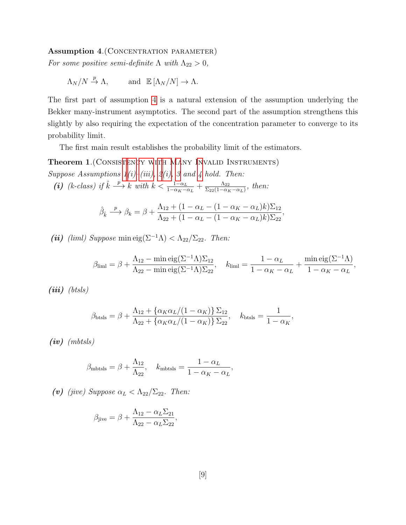#### Assumption 4. (CONCENTRATION PARAMETER)

For some positive semi-definite  $\Lambda$  with  $\Lambda_{22} > 0$ ,

$$
\Lambda_N/N \xrightarrow{p} \Lambda, \quad \text{and } \mathbb{E} [\Lambda_N/N] \to \Lambda.
$$

The first part of assumption [4](#page-9-1) is a natural extension of the assumption underlying the Bekker many-instrument asymptotics. The second part of the assumption strengthens this slightly by also requiring the expectation of the concentration parameter to converge to its probability limit.

The first main result establishes the probability limit of the estimators.

Theorem 1.(Consistency with Many Invalid Instruments) Suppose Assumptions  $1(i)$ –[\(iii\),](#page-9-4)  $2(i)$ , [3](#page-9-7) and [4](#page-9-1) hold. Then:

(i) (k-class) if  $\hat{k} \longrightarrow k$  with  $k < \frac{1-\alpha_L}{1-\alpha_K-\alpha_L} + \frac{\Lambda_{22}}{\Sigma_{22}(1-\alpha_K)}$  $\frac{\Lambda_{22}}{\Sigma_{22}(1-\alpha_K-\alpha_L)},\ then$ 

<span id="page-10-0"></span>
$$
\hat{\beta}_{\hat{k}} \xrightarrow{p} \beta_k = \beta + \frac{\Lambda_{12} + (1 - \alpha_L - (1 - \alpha_K - \alpha_L)k)\Sigma_{12}}{\Lambda_{22} + (1 - \alpha_L - (1 - \alpha_K - \alpha_L)k)\Sigma_{22}},
$$

(ii) (liml) Suppose min eig( $\Sigma^{-1}\Lambda$ ) <  $\Lambda_{22}/\Sigma_{22}$ . Then:

$$
\beta_{\text{liml}} = \beta + \frac{\Lambda_{12} - \min \text{eig}(\Sigma^{-1} \Lambda) \Sigma_{12}}{\Lambda_{22} - \min \text{eig}(\Sigma^{-1} \Lambda) \Sigma_{22}}, \quad k_{\text{liml}} = \frac{1 - \alpha_L}{1 - \alpha_K - \alpha_L} + \frac{\min \text{eig}(\Sigma^{-1} \Lambda)}{1 - \alpha_K - \alpha_L},
$$

 $(iii)$  (btsls)

$$
\beta_{\text{btsls}} = \beta + \frac{\Lambda_{12} + \{\alpha_K \alpha_L/(1 - \alpha_K)\} \Sigma_{12}}{\Lambda_{22} + \{\alpha_K \alpha_L/(1 - \alpha_K)\} \Sigma_{22}}, \quad k_{\text{btsls}} = \frac{1}{1 - \alpha_K},
$$

 $(iv)$  (mbtsls)

$$
\beta_{\text{mbtsls}} = \beta + \frac{\Lambda_{12}}{\Lambda_{22}}, \quad k_{\text{mbtsls}} = \frac{1 - \alpha_L}{1 - \alpha_K - \alpha_L},
$$

(v) (jive) Suppose  $\alpha_L < \Lambda_{22}/\Sigma_{22}$ . Then:

$$
\beta_{\text{jive}} = \beta + \frac{\Lambda_{12} - \alpha_L \Sigma_{21}}{\Lambda_{22} - \alpha_L \Sigma_{22}},
$$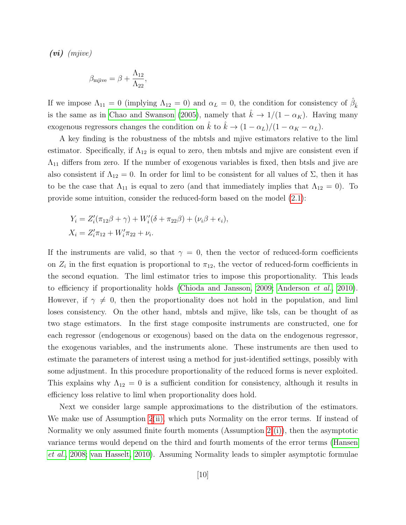(vi) (mjive)

$$
\beta_{mjive} = \beta + \frac{\Lambda_{12}}{\Lambda_{22}},
$$

If we impose  $\Lambda_{11} = 0$  (implying  $\Lambda_{12} = 0$ ) and  $\alpha_L = 0$ , the condition for consistency of  $\hat{\beta}_k$ is the same as in [Chao and Swanson \(2005\)](#page-40-1), namely that  $\hat{k} \to 1/(1 - \alpha_K)$ . Having many exogenous regressors changes the condition on  $\hat{k}$  to  $\hat{k} \rightarrow (1 - \alpha_L)/(1 - \alpha_K - \alpha_L)$ .

A key finding is the robustness of the mbtsls and mjive estimators relative to the liml estimator. Specifically, if  $\Lambda_{12}$  is equal to zero, then mbtsls and mjive are consistent even if  $\Lambda_{11}$  differs from zero. If the number of exogenous variables is fixed, then btsls and jive are also consistent if  $\Lambda_{12} = 0$ . In order for liml to be consistent for all values of  $\Sigma$ , then it has to be the case that  $\Lambda_{11}$  is equal to zero (and that immediately implies that  $\Lambda_{12} = 0$ ). To provide some intuition, consider the reduced-form based on the model [\(2.1\)](#page-5-1):

$$
Y_i = Z'_i(\pi_{12}\beta + \gamma) + W'_i(\delta + \pi_{22}\beta) + (\nu_i\beta + \epsilon_i),
$$
  

$$
X_i = Z'_i\pi_{12} + W'_i\pi_{22} + \nu_i.
$$

If the instruments are valid, so that  $\gamma = 0$ , then the vector of reduced-form coefficients on  $Z_i$  in the first equation is proportional to  $\pi_{12}$ , the vector of reduced-form coefficients in the second equation. The liml estimator tries to impose this proportionality. This leads to efficiency if proportionality holds [\(Chioda and Jansson, 2009;](#page-40-2) [Anderson](#page-39-1) *et al.*, [2010\)](#page-39-1). However, if  $\gamma \neq 0$ , then the proportionality does not hold in the population, and liml loses consistency. On the other hand, mbtsls and mjive, like tsls, can be thought of as two stage estimators. In the first stage composite instruments are constructed, one for each regressor (endogenous or exogenous) based on the data on the endogenous regressor, the exogenous variables, and the instruments alone. These instruments are then used to estimate the parameters of interest using a method for just-identified settings, possibly with some adjustment. In this procedure proportionality of the reduced forms is never exploited. This explains why  $\Lambda_{12} = 0$  is a sufficient condition for consistency, although it results in efficiency loss relative to liml when proportionality does hold.

Next we consider large sample approximations to the distribution of the estimators. We make use of Assumption [2](#page-9-5)[\(ii\),](#page-9-8) which puts Normality on the error terms. If instead of Normality we only assumed finite fourth moments (Assumption [2](#page-9-5) [\(i\)\)](#page-9-6), then the asymptotic variance terms would depend on the third and fourth moments of the error terms [\(Hansen](#page-41-3) [et al.](#page-41-3), [2008;](#page-41-3) [van Hasselt, 2010\)](#page-42-10). Assuming Normality leads to simpler asymptotic formulae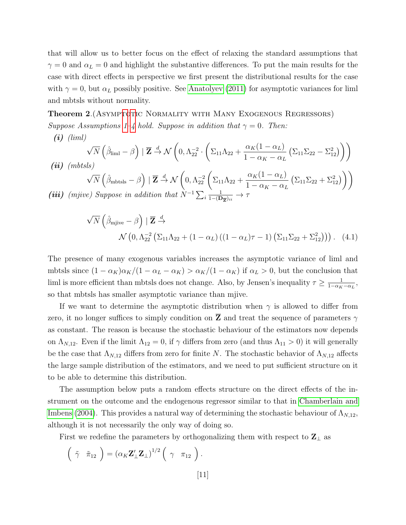that will allow us to better focus on the effect of relaxing the standard assumptions that  $\gamma = 0$  and  $\alpha_L = 0$  and highlight the substantive differences. To put the main results for the case with direct effects in perspective we first present the distributional results for the case with  $\gamma = 0$ , but  $\alpha_L$  possibly positive. See [Anatolyev \(2011\)](#page-39-3) for asymptotic variances for liml and mbtsls without normality.

<span id="page-12-0"></span>Theorem 2.(Asymptotic Normality with Many Exogenous Regressors) Suppose Assumptions [1–](#page-9-2)[4](#page-9-1) hold. Suppose in addition that  $\gamma = 0$ . Then:

<span id="page-12-3"></span> $(i)$  (liml)

<span id="page-12-1"></span>
$$
\sqrt{N}\left(\hat{\beta}_{\text{liml}} - \beta\right) \mid \overline{\mathbf{Z}} \stackrel{d}{\rightarrow} \mathcal{N}\left(0, \Lambda_{22}^{-2} \cdot \left(\Sigma_{11}\Lambda_{22} + \frac{\alpha_K(1-\alpha_L)}{1-\alpha_K-\alpha_L}\left(\Sigma_{11}\Sigma_{22} - \Sigma_{12}^2\right)\right)\right)
$$
  
\n*(ii) (mbtsls)*  
\n
$$
\sqrt{N}\left(\hat{\beta}_{\text{mbtsls}} - \beta\right) \mid \overline{\mathbf{Z}} \stackrel{d}{\rightarrow} \mathcal{N}\left(0, \Lambda_{22}^{-2}\left(\Sigma_{11}\Lambda_{22} + \frac{\alpha_K(1-\alpha_L)}{1-\alpha_K-\alpha_L}\left(\Sigma_{11}\Sigma_{22} + \Sigma_{12}^2\right)\right)\right)
$$
  
\n*(iii) (mjive) Suppose in addition that*  $N^{-1}\sum_{i} \frac{1}{1-(\mathbf{D}_{\overline{\mathbf{Z}}})_{ii}} \rightarrow \tau$ 

<span id="page-12-2"></span>
$$
\sqrt{N}\left(\hat{\beta}_{mjive} - \beta\right) | \overline{\mathbf{Z}} \stackrel{d}{\rightarrow} \mathcal{N}\left(0, \Lambda_{22}^{-2}\left(\Sigma_{11}\Lambda_{22} + (1 - \alpha_L)\left((1 - \alpha_L)\tau - 1\right)\left(\Sigma_{11}\Sigma_{22} + \Sigma_{12}^2\right)\right)\right). (4.1)
$$

The presence of many exogenous variables increases the asymptotic variance of liml and mbtsls since  $(1 - \alpha_K)\alpha_K/(1 - \alpha_L - \alpha_K) > \alpha_K/(1 - \alpha_K)$  if  $\alpha_L > 0$ , but the conclusion that liml is more efficient than mbtsls does not change. Also, by Jensen's inequality  $\tau \geq \frac{1}{1-\alpha}$  $\frac{1}{1-\alpha_K-\alpha_L}$ so that mbtsls has smaller asymptotic variance than mjive.

If we want to determine the asymptotic distribution when  $\gamma$  is allowed to differ from zero, it no longer suffices to simply condition on **Z** and treat the sequence of parameters  $\gamma$ as constant. The reason is because the stochastic behaviour of the estimators now depends on  $\Lambda_{N,12}$ . Even if the limit  $\Lambda_{12} = 0$ , if  $\gamma$  differs from zero (and thus  $\Lambda_{11} > 0$ ) it will generally be the case that  $\Lambda_{N,12}$  differs from zero for finite N. The stochastic behavior of  $\Lambda_{N,12}$  affects the large sample distribution of the estimators, and we need to put sufficient structure on it to be able to determine this distribution.

The assumption below puts a random effects structure on the direct effects of the instrument on the outcome and the endogenous regressor similar to that in [Chamberlain and](#page-40-0) [Imbens \(2004\)](#page-40-0). This provides a natural way of determining the stochastic behaviour of  $\Lambda_{N,12}$ , although it is not necessarily the only way of doing so.

First we redefine the parameters by orthogonalizing them with respect to  $\mathbf{Z}_{\perp}$  as

$$
\left(\begin{array}{cc}\tilde{\gamma} & \tilde{\pi}_{12}\end{array}\right)=\left(\alpha_K \mathbf{Z}_{\perp}' \mathbf{Z}_{\perp}\right)^{1/2}\left(\begin{array}{cc}\gamma & \pi_{12}\end{array}\right).
$$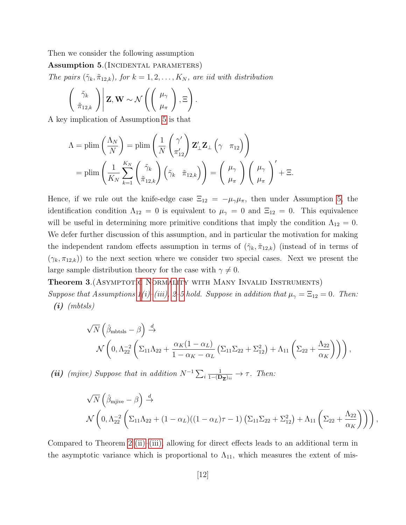Then we consider the following assumption

Assumption 5. (INCIDENTAL PARAMETERS)

The pairs  $(\tilde{\gamma}_k, \tilde{\pi}_{12,k})$ , for  $k = 1, 2, ..., K_N$ , are iid with distribution

<span id="page-13-0"></span>
$$
\left(\begin{array}{c}\tilde{\gamma}_k\\ \tilde{\pi}_{12,k}\end{array}\right) \middle| \mathbf{Z}, \mathbf{W} \sim \mathcal{N}\left(\left(\begin{array}{c}\mu_\gamma\\ \mu_\pi\end{array}\right), \Xi\right).
$$

A key implication of Assumption [5](#page-13-0) is that

$$
\Lambda = \text{plim}\left(\frac{\Lambda_N}{N}\right) = \text{plim}\left(\frac{1}{N} \begin{pmatrix} \gamma' \\ \pi'_{12} \end{pmatrix} \mathbf{Z}'_{\perp} \mathbf{Z}_{\perp} \left(\gamma \quad \pi_{12}\right) \right)
$$
  
=  $\text{plim}\left(\frac{1}{K_N} \sum_{k=1}^{K_N} \begin{pmatrix} \tilde{\gamma}_k \\ \tilde{\pi}_{12,k} \end{pmatrix} \left(\tilde{\gamma}_k \quad \tilde{\pi}_{12,k}\right) \right) = \begin{pmatrix} \mu_\gamma \\ \mu_\pi \end{pmatrix} \begin{pmatrix} \mu_\gamma \\ \mu_\pi \end{pmatrix}' + \Xi.$ 

Hence, if we rule out the knife-edge case  $\Xi_{12} = -\mu_{\gamma}\mu_{\pi}$ , then under Assumption [5,](#page-13-0) the identification condition  $\Lambda_{12} = 0$  is equivalent to  $\mu_{\gamma} = 0$  and  $\Xi_{12} = 0$ . This equivalence will be useful in determining more primitive conditions that imply the condition  $\Lambda_{12} = 0$ . We defer further discussion of this assumption, and in particular the motivation for making the independent random effects assumption in terms of  $(\tilde{\gamma}_k, \tilde{\pi}_{12,k})$  (instead of in terms of  $(\gamma_k, \pi_{12,k})$  to the next section where we consider two special cases. Next we present the large sample distribution theory for the case with  $\gamma \neq 0$ .

#### Theorem 3.(Asymptotic Normality with Many Invalid Instruments)

Suppose that Assumptions  $1(i)$ –[\(iii\),](#page-9-4) [2](#page-9-5)[–5](#page-13-0) hold. Suppose in addition that  $\mu_{\gamma} = \Xi_{12} = 0$ . Then:  $(i)$  (mbtsls)

<span id="page-13-1"></span>
$$
\sqrt{N}\left(\hat{\beta}_{\text{mbtsls}}-\beta\right) \stackrel{d}{\rightarrow} \n\mathcal{N}\left(0,\Lambda_{22}^{-2}\left(\Sigma_{11}\Lambda_{22}+\frac{\alpha_K(1-\alpha_L)}{1-\alpha_K-\alpha_L}\left(\Sigma_{11}\Sigma_{22}+\Sigma_{12}^2\right)+\Lambda_{11}\left(\Sigma_{22}+\frac{\Lambda_{22}}{\alpha_K}\right)\right)\right),
$$

(ii) (mjive) Suppose that in addition  $N^{-1}\sum_i$ 1  $\frac{1}{1-(\mathbf{D}_{\overline{z}})_{ii}} \rightarrow \tau$ . Then:

$$
\sqrt{N}\left(\hat{\beta}_{mjive} - \beta\right) \stackrel{d}{\rightarrow} \mathcal{N}\left(0, \Lambda_{22}^{-2}\left(\Sigma_{11}\Lambda_{22} + (1 - \alpha_L)((1 - \alpha_L)\tau - 1)\left(\Sigma_{11}\Sigma_{22} + \Sigma_{12}^2\right) + \Lambda_{11}\left(\Sigma_{22} + \frac{\Lambda_{22}}{\alpha_K}\right)\right)\right),
$$

Compared to Theorem [2](#page-12-0) [\(ii\)–](#page-12-1)[\(iii\),](#page-12-2) allowing for direct effects leads to an additional term in the asymptotic variance which is proportional to  $\Lambda_{11}$ , which measures the extent of mis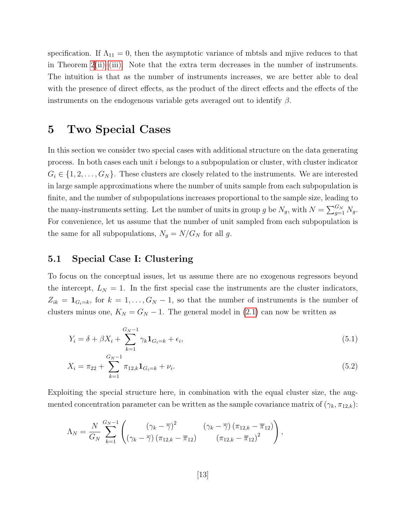specification. If  $\Lambda_{11} = 0$ , then the asymptotic variance of mbtsls and mjive reduces to that in Theorem  $2(i)$ [–\(iii\).](#page-12-2) Note that the extra term decreases in the number of instruments. The intuition is that as the number of instruments increases, we are better able to deal with the presence of direct effects, as the product of the direct effects and the effects of the instruments on the endogenous variable gets averaged out to identify  $\beta$ .

## <span id="page-14-0"></span>5 Two Special Cases

In this section we consider two special cases with additional structure on the data generating process. In both cases each unit i belongs to a subpopulation or cluster, with cluster indicator  $G_i \in \{1, 2, \ldots, G_N\}$ . These clusters are closely related to the instruments. We are interested in large sample approximations where the number of units sample from each subpopulation is finite, and the number of subpopulations increases proportional to the sample size, leading to the many-instruments setting. Let the number of units in group g be  $N_g$ , with  $N = \sum_{g=1}^{G_N} N_g$ . For convenience, let us assume that the number of unit sampled from each subpopulation is the same for all subpopulations,  $N_g = N/G_N$  for all g.

### 5.1 Special Case I: Clustering

To focus on the conceptual issues, let us assume there are no exogenous regressors beyond the intercept,  $L_N = 1$ . In the first special case the instruments are the cluster indicators,  $Z_{ik} = \mathbf{1}_{G_i=k}$ , for  $k = 1, \ldots, G_N-1$ , so that the number of instruments is the number of clusters minus one,  $K_N = G_N - 1$ . The general model in [\(2.1\)](#page-5-1) can now be written as

<span id="page-14-1"></span>
$$
Y_i = \delta + \beta X_i + \sum_{k=1}^{G_N - 1} \gamma_k \mathbf{1}_{G_i = k} + \epsilon_i,
$$
\n
$$
(5.1)
$$

<span id="page-14-2"></span>
$$
X_i = \pi_{22} + \sum_{k=1}^{G_N - 1} \pi_{12,k} \mathbf{1}_{G_i = k} + \nu_i.
$$
 (5.2)

Exploiting the special structure here, in combination with the equal cluster size, the augmented concentration parameter can be written as the sample covariance matrix of  $(\gamma_k, \pi_{12,k})$ :

$$
\Lambda_N = \frac{N}{G_N} \sum_{k=1}^{G_N-1} \left( \frac{\left(\gamma_k - \overline{\gamma}\right)^2}{\left(\gamma_k - \overline{\gamma}\right)\left(\pi_{12,k} - \overline{\pi}_{12}\right)} \frac{\left(\gamma_k - \overline{\gamma}\right)\left(\pi_{12,k} - \overline{\pi}_{12}\right)}{\left(\pi_{12,k} - \overline{\pi}_{12}\right)^2} \right),
$$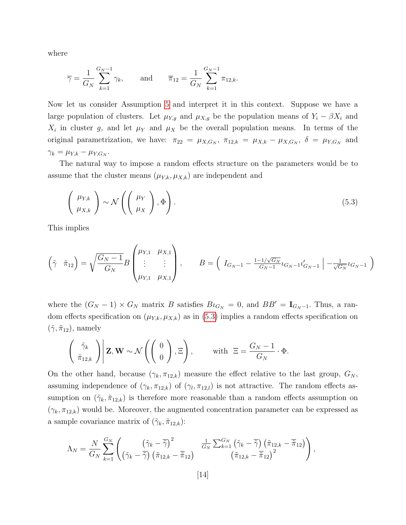where

$$
\overline{\gamma} = \frac{1}{G_N} \sum_{k=1}^{G_N - 1} \gamma_k
$$
, and  $\overline{\pi}_{12} = \frac{1}{G_N} \sum_{k=1}^{G_N - 1} \pi_{12,k}$ .

Now let us consider Assumption [5](#page-13-0) and interpret it in this context. Suppose we have a large population of clusters. Let  $\mu_{Y,g}$  and  $\mu_{X,g}$  be the population means of  $Y_i - \beta X_i$  and  $X_i$  in cluster g, and let  $\mu_Y$  and  $\mu_X$  be the overall population means. In terms of the original parametrization, we have:  $\pi_{22} = \mu_{X,G_N}$ ,  $\pi_{12,k} = \mu_{X,k} - \mu_{X,G_N}$ ,  $\delta = \mu_{Y,G_N}$  and  $\gamma_k = \mu_{Y,k} - \mu_{Y,G_N}.$ 

The natural way to impose a random effects structure on the parameters would be to assume that the cluster means  $(\mu_{Y,k}, \mu_{X,k})$  are independent and

<span id="page-15-0"></span>
$$
\left(\begin{array}{c}\mu_{Y,k} \\ \mu_{X,k}\end{array}\right) \sim \mathcal{N}\left(\left(\begin{array}{c}\mu_Y \\ \mu_X\end{array}\right), \Phi\right). \tag{5.3}
$$

This implies

$$
\left(\tilde{\gamma} \quad \tilde{\pi}_{12}\right) = \sqrt{\frac{G_N - 1}{G_N}} B \begin{pmatrix} \mu_{Y,1} & \mu_{X,1} \\ \vdots & \vdots \\ \mu_{Y,1} & \mu_{X,1} \end{pmatrix}, \qquad B = \left(\begin{array}{cc} I_{G_N - 1} - \frac{1 - 1/\sqrt{G_N}}{G_N - 1} t_{G_N - 1} t'_{G_N - 1} \end{array}\right) - \frac{1}{\sqrt{G_N}} t_{G_N - 1} \right)
$$

where the  $(G_N - 1) \times G_N$  matrix B satisfies  $B \iota_{G_N} = 0$ , and  $BB' = \mathbf{I}_{G_N - 1}$ . Thus, a random effects specification on  $(\mu_{Y,k}, \mu_{X,k})$  as in [\(5.3\)](#page-15-0) implies a random effects specification on  $(\tilde{\gamma}, \tilde{\pi}_{12}),$  namely

$$
\left(\begin{array}{c}\tilde{\gamma}_k \\ \tilde{\pi}_{12,k}\end{array}\right) \middle| \mathbf{Z}, \mathbf{W} \sim \mathcal{N}\left(\left(\begin{array}{c}0 \\ 0\end{array}\right), \Xi\right), \qquad \text{with } \Xi = \frac{G_N - 1}{G_N} \cdot \Phi.
$$

On the other hand, because  $(\gamma_k, \pi_{12,k})$  measure the effect relative to the last group,  $G_N$ , assuming independence of  $(\gamma_k, \pi_{12,k})$  of  $(\gamma_l, \pi_{12,k})$  is not attractive. The random effects assumption on  $(\tilde{\gamma}_k, \tilde{\pi}_{12,k})$  is therefore more reasonable than a random effects assumption on  $(\gamma_k, \pi_{12,k})$  would be. Moreover, the augmented concentration parameter can be expressed as a sample covariance matrix of  $(\tilde{\gamma}_k, \tilde{\pi}_{12,k})$ :

$$
\Lambda_N = \frac{N}{G_N}\sum_{k=1}^{G_N} \begin{pmatrix} \left(\tilde{\gamma}_k-\overline{\tilde{\gamma}}\right)^2 & \frac{1}{G_N}\sum_{k=1}^{G_N} \left(\tilde{\gamma}_k-\overline{\tilde{\gamma}}\right)\left(\tilde{\pi}_{12,k}-\overline{\tilde{\pi}}_{12}\right) \\ \left(\tilde{\gamma}_k-\overline{\tilde{\gamma}}\right)\left(\tilde{\pi}_{12,k}-\overline{\tilde{\pi}}_{12}\right) & \left(\tilde{\pi}_{12,k}-\overline{\tilde{\pi}}_{12}\right)^2 \end{pmatrix},
$$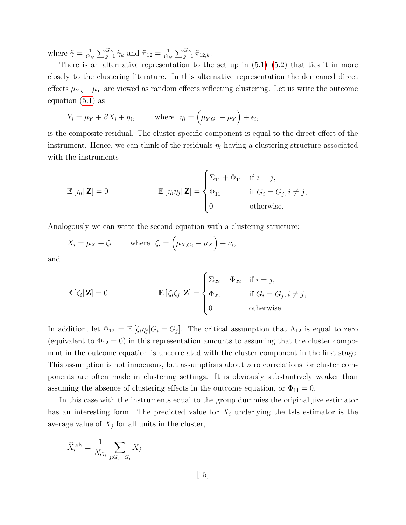where  $\overline{\tilde{\gamma}} = \frac{1}{C}$  $\frac{1}{G_N} \sum_{g=1}^{G_N} \tilde{\gamma}_k$  and  $\overline{\tilde{\pi}}_{12} = \frac{1}{G_N}$  $\frac{1}{G_N} \sum_{g=1}^{G_N} \tilde{\pi}_{12,k}.$ 

There is an alternative representation to the set up in  $(5.1)$ – $(5.2)$  that ties it in more closely to the clustering literature. In this alternative representation the demeaned direct effects  $\mu_{Y,g} - \mu_Y$  are viewed as random effects reflecting clustering. Let us write the outcome equation [\(5.1\)](#page-14-1) as

$$
Y_i = \mu_Y + \beta X_i + \eta_i
$$
, where  $\eta_i = (\mu_{Y,G_i} - \mu_Y) + \epsilon_i$ ,

is the composite residual. The cluster-specific component is equal to the direct effect of the instrument. Hence, we can think of the residuals  $\eta_i$  having a clustering structure associated with the instruments

$$
\mathbb{E}[\eta_i | \mathbf{Z}] = 0 \qquad \qquad \mathbb{E}[\eta_i \eta_j | \mathbf{Z}] = \begin{cases} \Sigma_{11} + \Phi_{11} & \text{if } i = j, \\ \Phi_{11} & \text{if } G_i = G_j, i \neq j, \\ 0 & \text{otherwise.} \end{cases}
$$

Analogously we can write the second equation with a clustering structure:

$$
X_i = \mu_X + \zeta_i \qquad \text{where } \zeta_i = \left(\mu_{X,G_i} - \mu_X\right) + \nu_i,
$$

and

$$
\mathbb{E}\left[\zeta_i|\mathbf{Z}\right] = 0 \qquad \qquad \mathbb{E}\left[\zeta_i\zeta_j|\mathbf{Z}\right] = \begin{cases} \Sigma_{22} + \Phi_{22} & \text{if } i = j, \\ \Phi_{22} & \text{if } G_i = G_j, i \neq j, \\ 0 & \text{otherwise.} \end{cases}
$$

In addition, let  $\Phi_{12} = \mathbb{E}[\zeta_i \eta_j | G_i = G_j].$  The critical assumption that  $\Lambda_{12}$  is equal to zero (equivalent to  $\Phi_{12} = 0$ ) in this representation amounts to assuming that the cluster component in the outcome equation is uncorrelated with the cluster component in the first stage. This assumption is not innocuous, but assumptions about zero correlations for cluster components are often made in clustering settings. It is obviously substantively weaker than assuming the absence of clustering effects in the outcome equation, or  $\Phi_{11} = 0$ .

In this case with the instruments equal to the group dummies the original jive estimator has an interesting form. The predicted value for  $X_i$  underlying the tsls estimator is the average value of  $X_j$  for all units in the cluster,

$$
\widehat{X}_i^{\text{tsls}} = \frac{1}{N_{G_i}} \sum_{j: G_j = G_i} X_j
$$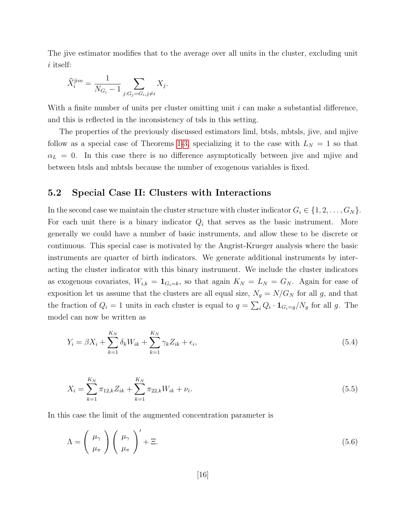The jive estimator modifies that to the average over all units in the cluster, excluding unit i itself:

$$
\widehat{X}_i^{\text{jive}} = \frac{1}{N_{G_i} - 1} \sum_{j: G_j = G_i, j \neq i} X_j.
$$

With a finite number of units per cluster omitting unit i can make a substantial difference, and this is reflected in the inconsistency of tsls in this setting.

The properties of the previously discussed estimators liml, btsls, mbtsls, jive, and mjive follow as a special case of Theorems [1-](#page-10-0)[3,](#page-13-1) specializing it to the case with  $L<sub>N</sub> = 1$  so that  $\alpha_L = 0$ . In this case there is no difference asymptotically between jive and mjive and between btsls and mbtsls because the number of exogenous variables is fixed.

### <span id="page-17-0"></span>5.2 Special Case II: Clusters with Interactions

In the second case we maintain the cluster structure with cluster indicator  $G_i \in \{1, 2, \ldots, G_N\}$ . For each unit there is a binary indicator  $Q_i$  that serves as the basic instrument. More generally we could have a number of basic instruments, and allow these to be discrete or continuous. This special case is motivated by the Angrist-Krueger analysis where the basic instruments are quarter of birth indicators. We generate additional instruments by interacting the cluster indicator with this binary instrument. We include the cluster indicators as exogenous covariates,  $W_{i,k} = \mathbf{1}_{G_i=k}$ , so that again  $K_N = L_N = G_N$ . Again for ease of exposition let us assume that the clusters are all equal size,  $N_g = N/G_N$  for all g, and that the fraction of  $Q_i = 1$  units in each cluster is equal to  $q = \sum_i Q_i \cdot \mathbf{1}_{G_i = g} / N_g$  for all g. The model can now be written as

<span id="page-17-1"></span>
$$
Y_i = \beta X_i + \sum_{k=1}^{K_N} \delta_k W_{ik} + \sum_{k=1}^{K_N} \gamma_k Z_{ik} + \epsilon_i,
$$
\n(5.4)

<span id="page-17-2"></span>
$$
X_i = \sum_{k=1}^{K_N} \pi_{12,k} Z_{ik} + \sum_{k=1}^{K_N} \pi_{22,k} W_{ik} + \nu_i.
$$
\n(5.5)

In this case the limit of the augmented concentration parameter is

$$
\Lambda = \left(\begin{array}{c} \mu_{\gamma} \\ \mu_{\pi} \end{array}\right) \left(\begin{array}{c} \mu_{\gamma} \\ \mu_{\pi} \end{array}\right)' + \Xi. \tag{5.6}
$$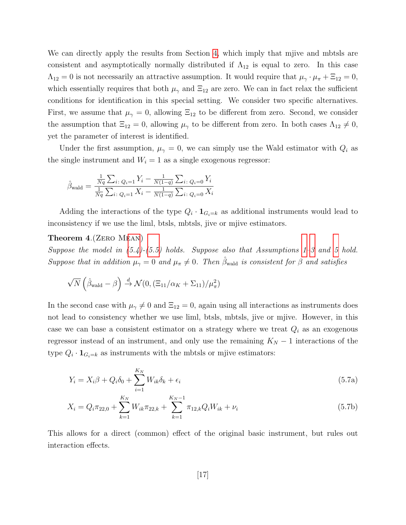We can directly apply the results from Section [4,](#page-9-0) which imply that mjive and mbtsls are consistent and asymptotically normally distributed if  $\Lambda_{12}$  is equal to zero. In this case  $\Lambda_{12}=0$  is not necessarily an attractive assumption. It would require that  $\mu_{\gamma} \cdot \mu_{\pi} + \Xi_{12} = 0$ , which essentially requires that both  $\mu_{\gamma}$  and  $\Xi_{12}$  are zero. We can in fact relax the sufficient conditions for identification in this special setting. We consider two specific alternatives. First, we assume that  $\mu_{\gamma} = 0$ , allowing  $\Xi_{12}$  to be different from zero. Second, we consider the assumption that  $\Xi_{12} = 0$ , allowing  $\mu_{\gamma}$  to be different from zero. In both cases  $\Lambda_{12} \neq 0$ , yet the parameter of interest is identified.

Under the first assumption,  $\mu_{\gamma} = 0$ , we can simply use the Wald estimator with  $Q_i$  as the single instrument and  $W_i = 1$  as a single exogenous regressor:

<span id="page-18-1"></span>
$$
\hat{\beta}_{\text{wald}} = \frac{\frac{1}{Nq} \sum_{i: Q_i=1} Y_i - \frac{1}{N(1-q)} \sum_{i: Q_i=0} Y_i}{\frac{1}{Nq} \sum_{i: Q_i=1} X_i - \frac{1}{N(1-q)} \sum_{i: Q_i=0} X_i}
$$

Adding the interactions of the type  $Q_i \cdot \mathbf{1}_{G_i=k}$  as additional instruments would lead to inconsistency if we use the liml, btsls, mbtsls, jive or mjive estimators.

#### Theorem 4.(Zero Mean)

Suppose the model in  $(5.4)-(5.5)$  $(5.4)-(5.5)$  $(5.4)-(5.5)$  holds. Suppose also that Assumptions [1](#page-9-2)[–3](#page-9-7) and [5](#page-13-0) hold. Suppose that in addition  $\mu_{\gamma} = 0$  and  $\mu_{\pi} \neq 0$ . Then  $\hat{\beta}_{\text{wald}}$  is consistent for  $\beta$  and satisfies

$$
\sqrt{N}\left(\hat{\beta}_{\text{wald}} - \beta\right) \stackrel{d}{\rightarrow} \mathcal{N}(0, \left(\Xi_{11}/\alpha_K + \Sigma_{11}\right) / \mu_\pi^2)
$$

In the second case with  $\mu_{\gamma} \neq 0$  and  $\Xi_{12} = 0$ , again using all interactions as instruments does not lead to consistency whether we use liml, btsls, mbtsls, jive or mjive. However, in this case we can base a consistent estimator on a strategy where we treat  $Q_i$  as an exogenous regressor instead of an instrument, and only use the remaining  $K_N - 1$  interactions of the type  $Q_i \cdot \mathbf{1}_{G_i=k}$  as instruments with the mbtsls or mjive estimators:

<span id="page-18-0"></span>
$$
Y_i = X_i \beta + Q_i \delta_0 + \sum_{i=1}^{K_N} W_{ik} \delta_k + \epsilon_i
$$
\n(5.7a)

$$
X_i = Q_i \pi_{22,0} + \sum_{k=1}^{K_N} W_{ik} \pi_{22,k} + \sum_{k=1}^{K_N - 1} \pi_{12,k} Q_i W_{ik} + \nu_i
$$
\n(5.7b)

<span id="page-18-2"></span>This allows for a direct (common) effect of the original basic instrument, but rules out interaction effects.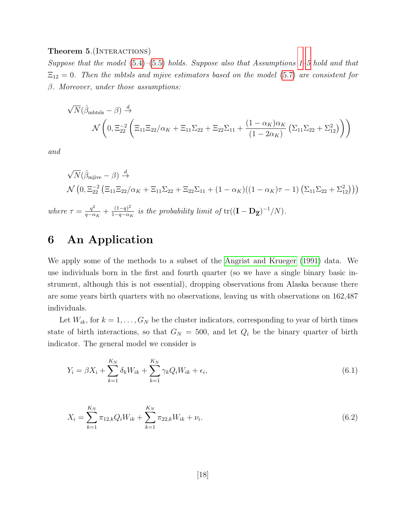#### Theorem 5. (INTERACTIONS)

Suppose that the model  $(5.4)$ – $(5.5)$  holds. Suppose also that Assumptions [1](#page-9-2)[–5](#page-13-0) hold and that  $\Xi_{12} = 0$ . Then the mbtsls and mjive estimators based on the model [\(5.7\)](#page-18-0) are consistent for  $\beta$ . Moreover, under those assumptions:

$$
\begin{split} \sqrt{N}(\hat{\beta}_{\text{mbtsls}}-\beta) &\xrightarrow{d} \\ \mathcal{N}\left(0,\Xi_{22}^{-2}\left(\Xi_{11}\Xi_{22}/\alpha_K+\Xi_{11}\Sigma_{22}+\Xi_{22}\Sigma_{11}+\frac{(1-\alpha_K)\alpha_K}{(1-2\alpha_K)}\left(\Sigma_{11}\Sigma_{22}+\Sigma_{12}^2\right)\right)\right) \end{split}
$$

and

$$
\sqrt{N}(\hat{\beta}_{mjive} - \beta) \stackrel{d}{\rightarrow}
$$
  
\n
$$
\mathcal{N}\left(0, \Xi_{22}^{-2} \left(\Xi_{11} \Xi_{22} / \alpha_K + \Xi_{11} \Sigma_{22} + \Xi_{22} \Sigma_{11} + (1 - \alpha_K)((1 - \alpha_K)\tau - 1) \left(\Sigma_{11} \Sigma_{22} + \Sigma_{12}^2\right)\right)\right)
$$
  
\n
$$
\mathcal{N}\left(0, \Xi_{22}^{-2} \left(\Xi_{11} \Xi_{22} / \alpha_K + \Xi_{11} \Sigma_{22} + \Xi_{22} \Sigma_{11} + (1 - \alpha_K)((1 - \alpha_K)\tau - 1) \left(\Sigma_{11} \Sigma_{22} + \Sigma_{12}^2\right)\right)\right)
$$

where  $\tau = \frac{q^2}{q_0 q}$  $\frac{q^2}{q - \alpha_K} + \frac{(1-q)^2}{1-q - \alpha_K}$  $\frac{(1-q)^2}{1-q-\alpha_K}$  is the probability limit of  $tr((\mathbf{I} - \mathbf{D}_{\overline{Z}})^{-1}/N)$ .

# <span id="page-19-0"></span>6 An Application

We apply some of the methods to a subset of the [Angrist and Krueger \(1991\)](#page-39-5) data. We use individuals born in the first and fourth quarter (so we have a single binary basic instrument, although this is not essential), dropping observations from Alaska because there are some years birth quarters with no observations, leaving us with observations on 162,487 individuals.

Let  $W_{ik}$ , for  $k = 1, \ldots, G_N$  be the cluster indicators, corresponding to year of birth times state of birth interactions, so that  $G_N = 500$ , and let  $Q_i$  be the binary quarter of birth indicator. The general model we consider is

$$
Y_i = \beta X_i + \sum_{k=1}^{K_N} \delta_k W_{ik} + \sum_{k=1}^{K_N} \gamma_k Q_i W_{ik} + \epsilon_i,
$$
\n(6.1)

$$
X_i = \sum_{k=1}^{K_N} \pi_{12,k} Q_i W_{ik} + \sum_{k=1}^{K_N} \pi_{22,k} W_{ik} + \nu_i.
$$
\n(6.2)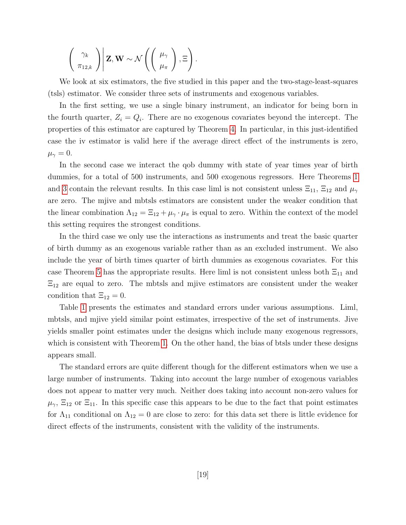$$
\left(\begin{array}{c}\gamma_k\\ \pi_{12,k}\end{array}\right)\middle|\mathbf{Z},\mathbf{W}\sim\mathcal{N}\left(\left(\begin{array}{c}\mu_\gamma\\ \mu_\pi\end{array}\right),\Xi\right).
$$

We look at six estimators, the five studied in this paper and the two-stage-least-squares (tsls) estimator. We consider three sets of instruments and exogenous variables.

In the first setting, we use a single binary instrument, an indicator for being born in the fourth quarter,  $Z_i = Q_i$ . There are no exogenous covariates beyond the intercept. The properties of this estimator are captured by Theorem [4.](#page-18-1) In particular, in this just-identified case the iv estimator is valid here if the average direct effect of the instruments is zero,  $\mu_{\gamma}=0.$ 

In the second case we interact the qob dummy with state of year times year of birth dummies, for a total of 500 instruments, and 500 exogenous regressors. Here Theorems [1](#page-10-0) and [3](#page-13-1) contain the relevant results. In this case liml is not consistent unless  $\Xi_{11}$ ,  $\Xi_{12}$  and  $\mu_{\gamma}$ are zero. The mjive and mbtsls estimators are consistent under the weaker condition that the linear combination  $\Lambda_{12} = \Xi_{12} + \mu_\gamma \cdot \mu_\pi$  is equal to zero. Within the context of the model this setting requires the strongest conditions.

In the third case we only use the interactions as instruments and treat the basic quarter of birth dummy as an exogenous variable rather than as an excluded instrument. We also include the year of birth times quarter of birth dummies as exogenous covariates. For this case Theorem [5](#page-18-2) has the appropriate results. Here liml is not consistent unless both  $\Xi_{11}$  and  $\Xi_{12}$  are equal to zero. The mbtsls and mjive estimators are consistent under the weaker condition that  $\Xi_{12} = 0$ .

Table [1](#page-43-0) presents the estimates and standard errors under various assumptions. Liml, mbtsls, and mjive yield similar point estimates, irrespective of the set of instruments. Jive yields smaller point estimates under the designs which include many exogenous regressors, which is consistent with Theorem [1.](#page-10-0) On the other hand, the bias of btsls under these designs appears small.

The standard errors are quite different though for the different estimators when we use a large number of instruments. Taking into account the large number of exogenous variables does not appear to matter very much. Neither does taking into account non-zero values for  $\mu_{\gamma}$ ,  $\Xi_{12}$  or  $\Xi_{11}$ . In this specific case this appears to be due to the fact that point estimates for  $\Lambda_{11}$  conditional on  $\Lambda_{12} = 0$  are close to zero: for this data set there is little evidence for direct effects of the instruments, consistent with the validity of the instruments.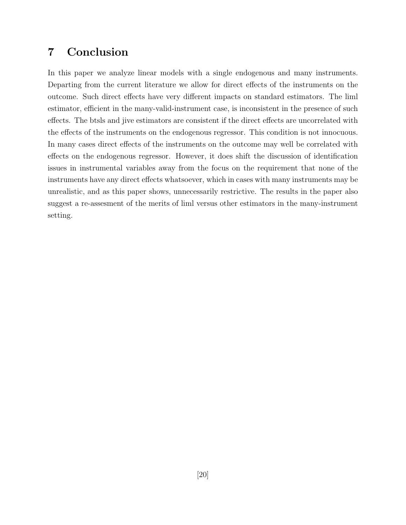## <span id="page-21-0"></span>7 Conclusion

In this paper we analyze linear models with a single endogenous and many instruments. Departing from the current literature we allow for direct effects of the instruments on the outcome. Such direct effects have very different impacts on standard estimators. The liml estimator, efficient in the many-valid-instrument case, is inconsistent in the presence of such effects. The btsls and jive estimators are consistent if the direct effects are uncorrelated with the effects of the instruments on the endogenous regressor. This condition is not innocuous. In many cases direct effects of the instruments on the outcome may well be correlated with effects on the endogenous regressor. However, it does shift the discussion of identification issues in instrumental variables away from the focus on the requirement that none of the instruments have any direct effects whatsoever, which in cases with many instruments may be unrealistic, and as this paper shows, unnecessarily restrictive. The results in the paper also suggest a re-assesment of the merits of liml versus other estimators in the many-instrument setting.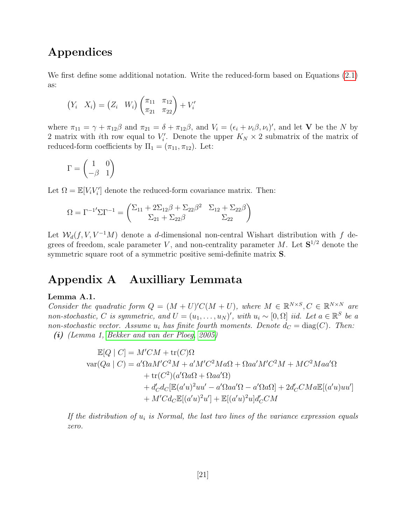## Appendices

We first define some additional notation. Write the reduced-form based on Equations [\(2.1\)](#page-5-1) as:

$$
(Y_i \quad X_i) = (Z_i \quad W_i) \begin{pmatrix} \pi_{11} & \pi_{12} \\ \pi_{21} & \pi_{22} \end{pmatrix} + V'_i
$$

where  $\pi_{11} = \gamma + \pi_{12}\beta$  and  $\pi_{21} = \delta + \pi_{12}\beta$ , and  $V_i = (\epsilon_i + \nu_i\beta, \nu_i)'$ , and let **V** be the N by 2 matrix with *i*th row equal to  $V_i'$ . Denote the upper  $K_N \times 2$  submatrix of the matrix of reduced-form coefficients by  $\Pi_1 = (\pi_{11}, \pi_{12})$ . Let:

$$
\Gamma = \begin{pmatrix} 1 & 0 \\ -\beta & 1 \end{pmatrix}
$$

Let  $\Omega = \mathbb{E}[V_i V_i']$  denote the reduced-form covariance matrix. Then:

$$
\Omega = \Gamma^{-1'} \Sigma \Gamma^{-1} = \begin{pmatrix} \Sigma_{11} + 2\Sigma_{12}\beta + \Sigma_{22}\beta^2 & \Sigma_{12} + \Sigma_{22}\beta \\ \Sigma_{21} + \Sigma_{22}\beta & \Sigma_{22} \end{pmatrix}
$$

Let  $W_d(f, V, V^{-1}M)$  denote a d-dimensional non-central Wishart distribution with f degrees of freedom, scale parameter V, and non-centrality parameter M. Let  $S^{1/2}$  denote the symmetric square root of a symmetric positive semi-definite matrix S.

## Appendix A Auxilliary Lemmata

### <span id="page-22-0"></span>Lemma A.1.

<span id="page-22-1"></span>Consider the quadratic form  $Q = (M + U)'C(M + U)$ , where  $M \in \mathbb{R}^{N \times S}, C \in \mathbb{R}^{N \times N}$  are non-stochastic, C is symmetric, and  $U = (u_1, \ldots, u_N)'$ , with  $u_i \sim [0, \Omega]$  iid. Let  $a \in \mathbb{R}^S$  be a non-stochastic vector. Assume  $u_i$  has finite fourth moments. Denote  $d_C = \text{diag}(C)$ . Then: (i) (Lemma 1, [Bekker and van der Ploeg, 2005\)](#page-39-12)

$$
\mathbb{E}[Q | C] = M'CM + \text{tr}(C)\Omega
$$
  
\n
$$
\text{var}(Qa | C) = a'\Omega a M'C^2 M + a'M'C^2 Ma\Omega + \Omega a a'M'C^2 M + MC^2 M a a'\Omega
$$
  
\n
$$
+ \text{tr}(C^2)(a'\Omega a\Omega + \Omega a a'\Omega)
$$
  
\n
$$
+ d'_C d_C[\mathbb{E}(a'u)^2 uu' - a'\Omega a a'\Omega - a'\Omega a\Omega] + 2d'_C C M a \mathbb{E}[(a'u)uu']
$$
  
\n
$$
+ M' C d_C \mathbb{E}[(a'u)^2 u'] + \mathbb{E}[(a'u)^2 u] d'_C CM
$$

If the distribution of  $u_i$  is Normal, the last two lines of the variance expression equals zero.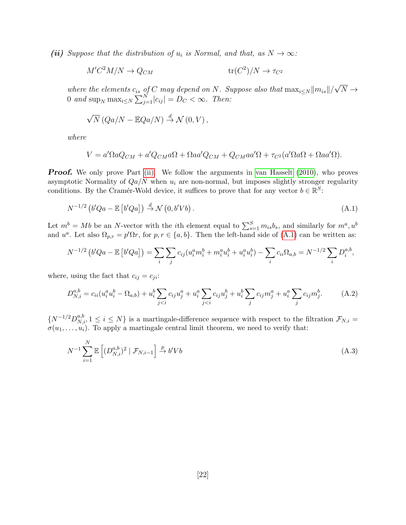<span id="page-23-0"></span>(ii) Suppose that the distribution of  $u_i$  is Normal, and that, as  $N \to \infty$ :

$$
M'C^2M/N \to Q_{CM} \qquad \text{tr}(C^2)/N \to \tau_{C^2}
$$

where the elements  $c_{is}$  of C may depend on N. Suppose also that  $\max_{i\leq N} ||m_{is}||/$ √  $N \rightarrow$ 0 and  $\sup_N \max_{i \le N} \sum_{j=1}^N |c_{ij}| = D_C < \infty$ . Then:

$$
\sqrt{N} (Qa/N - \mathbb{E} Qa/N) \stackrel{d}{\rightarrow} \mathcal{N}(0, V),
$$

where

<span id="page-23-1"></span>
$$
V = a'\Omega aQ_{CM} + a'Q_{CM}a\Omega + \Omega aa'Q_{CM} + Q_{CM}aa'\Omega + \tau_{C^2}(a'\Omega a\Omega + \Omega aa'\Omega).
$$

**Proof.** We only prove Part [\(ii\).](#page-23-0) We follow the arguments in [van Hasselt \(2010\)](#page-42-10), who proves asymptotic Normality of  $Qa/N$  when  $u_i$  are non-normal, but imposes slightly stronger regularity conditions. By the Cramér-Wold device, it suffices to prove that for any vector  $b \in \mathbb{R}^S$ :

$$
N^{-1/2} \left( b'Qa - \mathbb{E}\left[ b'Qa \right] \right) \stackrel{d}{\to} \mathcal{N}\left(0, b'Vb\right). \tag{A.1}
$$

Let  $m^b = Mb$  be an N-vector with the *i*th element equal to  $\sum_{s=1}^{S} m_{is}b_s$ , and similarly for  $m^a, u^b$ and  $u^a$ . Let also  $\Omega_{p,r} = p'\Omega r$ , for  $p, r \in \{a, b\}$ . Then the left-hand side of [\(A.1\)](#page-23-1) can be written as:

$$
N^{-1/2} \left( b'Qa - \mathbb{E} \left[ b'Qa \right] \right) = \sum_{i} \sum_{j} c_{ij} (u_i^a m_i^b + m_i^a u_i^b + u_i^a u_i^b) - \sum_{i} c_{ii} \Omega_{a,b} = N^{-1/2} \sum_{i} D_i^{a,b},
$$

where, using the fact that  $c_{ij} = c_{ji}$ :

$$
D_{N,i}^{a,b} = c_{ii}(u_i^a u_i^b - \Omega_{a,b}) + u_i^b \sum_{j < i} c_{ij} u_j^a + u_i^a \sum_{j < i} c_{ij} u_j^b + u_i^b \sum_j c_{ij} m_j^a + u_i^a \sum_j c_{ij} m_j^b. \tag{A.2}
$$

 $\{N^{-1/2}D_{N,i}^{a,b}, 1 \le i \le N\}$  is a martingale-difference sequence with respect to the filtration  $\mathcal{F}_{N,i}$  $\sigma(u_1,\ldots,u_i)$ . To apply a martingale central limit theorem, we need to verify that:

<span id="page-23-2"></span>
$$
N^{-1} \sum_{i=1}^{N} \mathbb{E}\left[ (D_{N,i}^{a,b})^2 \mid \mathcal{F}_{N,i-1} \right] \xrightarrow{p} b'Vb \tag{A.3}
$$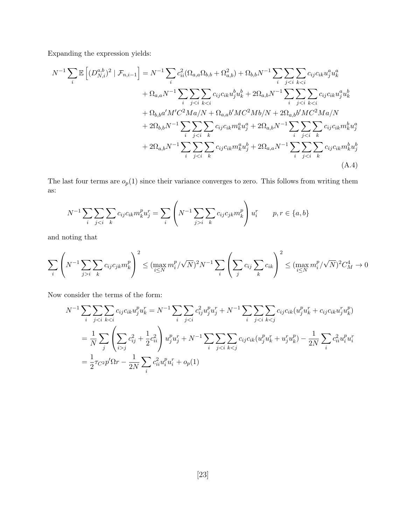Expanding the expression yields:

$$
N^{-1} \sum_{i} \mathbb{E} \left[ (D_{N,i}^{a,b})^{2} \mid \mathcal{F}_{n,i-1} \right] = N^{-1} \sum_{i} c_{ii}^{2} (\Omega_{a,a} \Omega_{b,b} + \Omega_{a,b}^{2}) + \Omega_{b,b} N^{-1} \sum_{i} \sum_{j < i} \sum_{k < i} c_{ij} c_{ik} u_{j}^{a} u_{k}^{a} + \Omega_{a,a} N^{-1} \sum_{i} \sum_{j < i} \sum_{k < i} c_{ij} c_{ik} u_{j}^{b} u_{k}^{b} + 2 \Omega_{a,b} N^{-1} \sum_{i} \sum_{j < i} \sum_{k < i} c_{ij} c_{ik} u_{j}^{a} u_{k}^{b} + \Omega_{b,b} a' M' C^{2} M a / N + \Omega_{a,a} b' M C^{2} M b / N + 2 \Omega_{a,b} b' M C^{2} M a / N + 2 \Omega_{b,b} N^{-1} \sum_{i} \sum_{j < i} \sum_{k} c_{ij} c_{ik} m_{k}^{a} u_{j}^{a} + 2 \Omega_{a,b} N^{-1} \sum_{i} \sum_{j < i} \sum_{k} c_{ij} c_{ik} m_{k}^{b} u_{j}^{a} + 2 \Omega_{a,b} N^{-1} \sum_{i} \sum_{j < i} \sum_{k} c_{ij} c_{ik} m_{k}^{b} u_{j}^{a} + 2 \Omega_{a,b} N^{-1} \sum_{i} \sum_{j < i} \sum_{k} c_{ij} c_{ik} m_{k}^{b} u_{j}^{b}
$$
\n
$$
+ 2 \Omega_{a,b} N^{-1} \sum_{i} \sum_{j < i} \sum_{k} c_{ij} c_{ik} m_{k}^{a} u_{j}^{b} + 2 \Omega_{a,a} N^{-1} \sum_{i} \sum_{j < i} \sum_{k} c_{ij} c_{ik} m_{k}^{b} u_{j}^{b}
$$
\n(A.4)

The last four terms are  $o_p(1)$  since their variance converges to zero. This follows from writing them as:

$$
N^{-1} \sum_{i} \sum_{j < i} \sum_{k} c_{ij} c_{ik} m_{k}^{p} u_{j}^{r} = \sum_{i} \left( N^{-1} \sum_{j > i} \sum_{k} c_{ij} c_{jk} m_{k}^{p} \right) u_{i}^{r} \qquad p, r \in \{a, b\}
$$

and noting that

$$
\sum_{i} \left( N^{-1} \sum_{j>i} \sum_{k} c_{ij} c_{jk} m_{k}^{p} \right)^{2} \leq (\max_{i \leq N} m_{i}^{p} / \sqrt{N})^{2} N^{-1} \sum_{i} \left( \sum_{j} c_{ij} \sum_{k} c_{ik} \right)^{2} \leq (\max_{i \leq N} m_{i}^{p} / \sqrt{N})^{2} C_{M}^{4} \to 0
$$

Now consider the terms of the form:

$$
N^{-1} \sum_{i} \sum_{j < i} \sum_{k < i} c_{ij} c_{ik} u_j^p u_k^r = N^{-1} \sum_{i} \sum_{j < i} c_{ij}^2 u_j^p u_j^r + N^{-1} \sum_{i} \sum_{j < i} \sum_{k < j} c_{ij} c_{ik} (u_j^p u_k^r + c_{ij} c_{ik} u_j^r u_k^p)
$$
\n
$$
= \frac{1}{N} \sum_{j} \left( \sum_{i > j} c_{ij}^2 + \frac{1}{2} c_{ii}^2 \right) u_j^p u_j^r + N^{-1} \sum_{i} \sum_{j < i} \sum_{k < j} c_{ij} c_{ik} (u_j^p u_k^r + u_j^r u_k^p) - \frac{1}{2N} \sum_{i} c_{ii}^2 u_i^p u_i^r
$$
\n
$$
= \frac{1}{2} \tau_{C^2} p' \Omega r - \frac{1}{2N} \sum_{i} c_{ii}^2 u_i^p u_i^r + o_p(1)
$$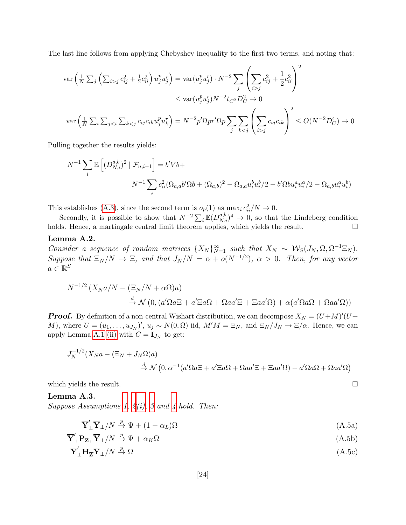The last line follows from applying Chebyshev inequality to the first two terms, and noting that:

$$
\operatorname{var}\left(\frac{1}{N}\sum_{j}\left(\sum_{i>j}c_{ij}^{2}+\frac{1}{2}c_{ii}^{2}\right)u_{j}^{p}u_{j}^{r}\right) = \operatorname{var}(u_{j}^{p}u_{j}^{r})\cdot N^{-2}\sum_{j}\left(\sum_{i>j}c_{ij}^{2}+\frac{1}{2}c_{ii}^{2}\right)^{2}
$$

$$
\leq \operatorname{var}(u_{j}^{p}u_{j}^{r})N^{-2}t_{C^{2}}D_{C}^{2} \to 0
$$

$$
\operatorname{var}\left(\frac{1}{N}\sum_{i}\sum_{jj}c_{ij}c_{ik}\right)^{2} \leq O(N^{-2}D_{C}^{4}) \to 0
$$

Pulling together the results yields:

$$
N^{-1} \sum_{i} \mathbb{E}\left[ (D_{N,i}^{a,b})^2 \mid \mathcal{F}_{n,i-1} \right] = b' V b +
$$
  

$$
N^{-1} \sum_{i} c_{ii}^2 (\Omega_{a,a} b' \Omega b + (\Omega_{a,b})^2 - \Omega_{a,a} u_i^b u_i^b / 2 - b' \Omega b u_i^a u_i^a / 2 - \Omega_{a,b} u_i^a u_i^b)
$$

This establishes [\(A.3\)](#page-23-2), since the second term is  $o_p(1)$  as  $\max_i c_{ii}^2/N \to 0$ .

Secondly, it is possible to show that  $N^{-2}\sum_i \mathbb{E}(D_{N,i}^{a,b})^4 \to 0$ , so that the Lindeberg condition holds. Hence, a martingale central limit theorem applies, which yields the result.  $\square$ 

### <span id="page-25-4"></span>Lemma A.2.

Consider a sequence of random matrices  $\{X_N\}_{N=1}^{\infty}$  such that  $X_N \sim \mathcal{W}_S(J_N, \Omega, \Omega^{-1} \Xi_N)$ . Suppose that  $\Xi_N/N \to \Xi$ , and that  $J_N/N = \alpha + o(N^{-1/2})$ ,  $\alpha > 0$ . Then, for any vector  $a \in \mathbb{R}^S$ 

$$
N^{-1/2} (X_N a/N - (\Xi_N/N + \alpha \Omega)a)
$$
  
\n
$$
\stackrel{d}{\to} \mathcal{N} (0, (a'\Omega a\Xi + a'\Xi a\Omega + \Omega a a'\Xi + \Xi a a'\Omega) + \alpha (a'\Omega a\Omega + \Omega a a'\Omega))
$$

**Proof.** By definition of a non-central Wishart distribution, we can decompose  $X_N = (U + M)'(U +$ M), where  $U = (u_1, \ldots, u_{J_N})'$ ,  $u_j \sim N(0, \Omega)$  iid,  $M'M = \Xi_N$ , and  $\Xi_N/J_N \to \Xi/\alpha$ . Hence, we can apply Lemma [A.1](#page-22-0) [\(ii\)](#page-23-0) with  $C = I_{J_N}$  to get:

$$
J_N^{-1/2}(X_N a - (\Xi_N + J_N \Omega)a)
$$
  

$$
\stackrel{d}{\to} \mathcal{N}(0, \alpha^{-1}(a'\Omega a \Xi + a'\Xi a\Omega + \Omega a a'\Xi + \Xi a a'\Omega) + a'\Omega a\Omega + \Omega a a'\Omega)
$$

which yields the result.  $\Box$ 

<span id="page-25-3"></span>Lemma A.3. Suppose Assumptions [1,](#page-9-2)  $2(i)$ , [3](#page-9-7) and [4](#page-9-1) hold. Then:

<span id="page-25-2"></span><span id="page-25-1"></span><span id="page-25-0"></span>
$$
\overline{\mathbf{Y}}_{\perp}' \overline{\mathbf{Y}}_{\perp}/N \xrightarrow{p} \Psi + (1 - \alpha_L) \Omega \tag{A.5a}
$$

$$
\overline{\mathbf{Y}}_{\perp}' \mathbf{P}_{\mathbf{Z}_{\perp}} \overline{\mathbf{Y}}_{\perp}/N \xrightarrow{p} \Psi + \alpha_K \Omega \tag{A.5b}
$$

$$
\overline{\mathbf{Y}}_{\perp}^{\prime} \mathbf{H}_{\overline{\mathbf{Z}}} \overline{\mathbf{Y}}_{\perp} / N \stackrel{p}{\to} \Omega \tag{A.5c}
$$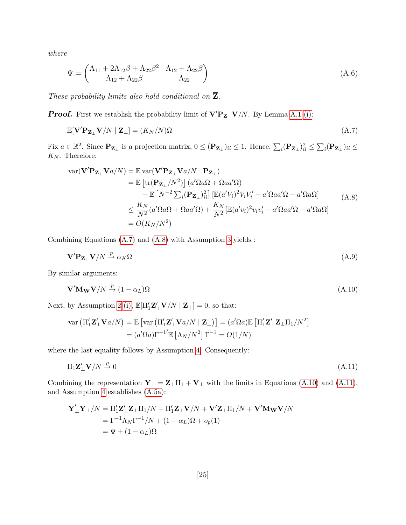where

$$
\Psi = \begin{pmatrix} \Lambda_{11} + 2\Lambda_{12}\beta + \Lambda_{22}\beta^2 & \Lambda_{12} + \Lambda_{22}\beta \\ \Lambda_{12} + \Lambda_{22}\beta & \Lambda_{22} \end{pmatrix}
$$
 (A.6)

These probability limits also hold conditional on  $\overline{Z}$ .

**Proof.** First we establish the probability limit of  $V'P_{Z_\perp}V/N$ . By Lemma [A.1](#page-22-0) [\(i\):](#page-22-1)

<span id="page-26-0"></span>
$$
\mathbb{E}[\mathbf{V}'\mathbf{P}_{\mathbf{Z}_{\perp}}\mathbf{V}/N \mid \mathbf{Z}_{\perp}] = (K_N/N)\Omega
$$
\n(A.7)

Fix  $a \in \mathbb{R}^2$ . Since  $\mathbf{P}_{\mathbf{Z}_{\perp}}$  is a projection matrix,  $0 \leq (\mathbf{P}_{\mathbf{Z}_{\perp}})_{ii} \leq 1$ . Hence,  $\sum_i (\mathbf{P}_{\mathbf{Z}_{\perp}})_{ii}^2 \leq \sum_i (\mathbf{P}_{\mathbf{Z}_{\perp}})_{ii} \leq$  $\mathcal{K}_{N}.$  Therefore:

<span id="page-26-1"></span>
$$
\begin{split} \text{var}(\mathbf{V}'\mathbf{P}_{\mathbf{Z}_{\perp}}\mathbf{V}a/N) &= \mathbb{E} \, \text{var}(\mathbf{V}'\mathbf{P}_{\mathbf{Z}_{\perp}}\mathbf{V}a/N \mid \mathbf{P}_{\mathbf{Z}_{\perp}}) \\ &= \mathbb{E} \left[ \text{tr}(\mathbf{P}_{\mathbf{Z}_{\perp}}/N^2) \right] (a'\Omega a\Omega + \Omega a a'\Omega) \\ &+ \mathbb{E} \left[ N^{-2} \sum_{i} (\mathbf{P}_{\mathbf{Z}_{\perp}})_{ii}^2 \right] \left[ \mathbb{E} (a'V_i)^2 V_i V_i' - a'\Omega a a'\Omega - a'\Omega a\Omega \right] \\ &\leq \frac{K_N}{N^2} (a'\Omega a\Omega + \Omega a a'\Omega) + \frac{K_N}{N^2} \left[ \mathbb{E} (a'v_i)^2 v_i v_i' - a'\Omega a a'\Omega - a'\Omega a\Omega \right] \\ &= O(K_N/N^2) \end{split} \tag{A.8}
$$

Combining Equations [\(A.7\)](#page-26-0) and [\(A.8\)](#page-26-1) with Assumption [3](#page-9-7) yields :

<span id="page-26-4"></span>
$$
\mathbf{V'}\mathbf{P}_{\mathbf{Z}_{\perp}}\mathbf{V}/N \stackrel{p}{\rightarrow} \alpha_K \Omega \tag{A.9}
$$

By similar arguments:

 $\overline{a}$ 

<span id="page-26-2"></span>
$$
\mathbf{V}'\mathbf{M}_{\mathbf{W}}\mathbf{V}/N \stackrel{p}{\to} (1 - \alpha_L)\Omega \tag{A.10}
$$

Next, by Assumption [2](#page-9-5) [\(i\),](#page-9-6)  $\mathbb{E}[\Pi'_1 \mathbf{Z}'_{\perp} \mathbf{V}/N | \mathbf{Z}_{\perp}] = 0$ , so that:

$$
\operatorname{var}\left(\Pi_1' \mathbf{Z}_\perp' \mathbf{V} a/N\right) = \mathbb{E}\left[\operatorname{var}\left(\Pi_1' \mathbf{Z}_\perp' \mathbf{V} a/N \mid \mathbf{Z}_\perp\right)\right] = (a'\Omega a)\mathbb{E}\left[\Pi_1' \mathbf{Z}_\perp' \mathbf{Z}_\perp \Pi_1/N^2\right]
$$

$$
= (a'\Omega a)\Gamma^{-1'}\mathbb{E}\left[\Lambda_N/N^2\right]\Gamma^{-1} = O(1/N)
$$

where the last equality follows by Assumption [4.](#page-9-1) Consequently:

<span id="page-26-3"></span>
$$
\Pi_1 \mathbf{Z}'_{\perp} \mathbf{V}/N \stackrel{p}{\to} 0 \tag{A.11}
$$

Combining the representation  $\mathbf{Y}_{\perp} = \mathbf{Z}_{\perp} \Pi_1 + \mathbf{V}_{\perp}$  with the limits in Equations [\(A.10\)](#page-26-2) and [\(A.11\)](#page-26-3), and Assumption [4](#page-9-1) establishes [\(A.5a\)](#page-25-0):

$$
\overline{\mathbf{Y}}'_{\perp}\overline{\mathbf{Y}}_{\perp}/N = \Pi'_1 \mathbf{Z}'_{\perp} \mathbf{Z}_{\perp} \Pi_1/N + \Pi'_1 \mathbf{Z}_{\perp} \mathbf{V}/N + \mathbf{V}' \mathbf{Z}_{\perp} \Pi_1/N + \mathbf{V}' \mathbf{M}_{\mathbf{W}} \mathbf{V}/N
$$
  
=  $\Gamma^{-1} \Lambda_N \Gamma^{-1}/N + (1 - \alpha_L) \Omega + o_p(1)$   
=  $\Psi + (1 - \alpha_L) \Omega$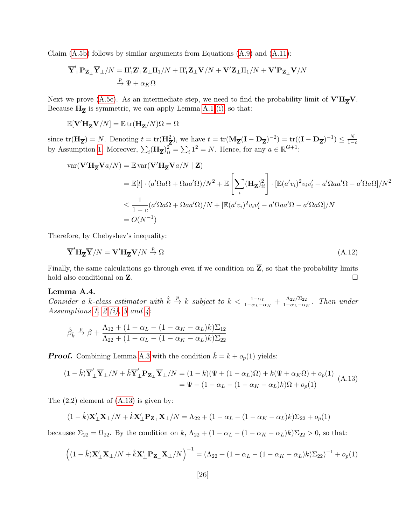Claim  $(A.5b)$  follows by similar arguments from Equations  $(A.9)$  and  $(A.11)$ :

$$
\overline{\mathbf{Y}}_\perp'\mathbf{P}_{\mathbf{Z}_\perp}\overline{\mathbf{Y}}_\perp/N=\Pi_1'\mathbf{Z}_\perp'\mathbf{Z}_\perp\Pi_1/N+\Pi_1'\mathbf{Z}_\perp\mathbf{V}/N+\mathbf{V}'\mathbf{Z}_\perp\Pi_1/N+\mathbf{V}'\mathbf{P}_{\mathbf{Z}_\perp}\mathbf{V}/N
$$

Next we prove [\(A.5c\)](#page-25-2). As an intermediate step, we need to find the probability limit of  $V'H_{\overline{Z}}V$ . Because  $H_{\overline{Z}}$  is symmetric, we can apply Lemma [A.1](#page-22-0) [\(i\),](#page-22-1) so that:

$$
\mathbb{E}[\mathbf{V}'\mathbf{H}_{\overline{\mathbf{Z}}}\mathbf{V}/N] = \mathbb{E} \operatorname{tr}(\mathbf{H}_{\overline{\mathbf{Z}}}/N) \boldsymbol{\Omega} = \boldsymbol{\Omega}
$$

since  $tr(\mathbf{H}_{\overline{Z}}) = N$ . Denoting  $t = tr(\mathbf{H}_{\overline{Z}}^2)$ , we have  $t = tr(\mathbf{M}_{\overline{Z}}(\mathbf{I} - \mathbf{D}_{\overline{Z}})^{-2}) = tr((\mathbf{I} - \mathbf{D}_{\overline{Z}})^{-1}) \le \frac{N}{1-c}$ by Assumption [1.](#page-9-2) Moreover,  $\sum_i (\mathbf{H}_{\overline{Z}})_i^2 = \sum_i 1^2 = N$ . Hence, for any  $a \in \mathbb{R}^{G+1}$ :

$$
\begin{split} \text{var}(\mathbf{V}' \mathbf{H}_{\overline{\mathbf{Z}}} \mathbf{V} a/N) &= \mathbb{E} \, \text{var}(\mathbf{V}' \mathbf{H}_{\overline{\mathbf{Z}}} \mathbf{V} a/N \mid \overline{\mathbf{Z}}) \\ &= \mathbb{E}[t] \cdot (a' \Omega a \Omega + \Omega a a' \Omega)/N^2 + \mathbb{E} \left[ \sum_i (\mathbf{H}_{\overline{\mathbf{Z}}})_{ii}^2 \right] \cdot \left[ \mathbb{E}(a' v_i)^2 v_i v_i' - a' \Omega a a' \Omega - a' \Omega a \Omega \right] / N^2 \\ &\le \frac{1}{1 - c} (a' \Omega a \Omega + \Omega a a' \Omega) / N + \left[ \mathbb{E}(a' v_i)^2 v_i v_i' - a' \Omega a a' \Omega - a' \Omega a \Omega \right] / N \\ &= O(N^{-1}) \end{split}
$$

Therefore, by Chebyshev's inequality:

$$
\overline{\mathbf{Y}}'\mathbf{H}_{\overline{\mathbf{Z}}}\overline{\mathbf{Y}}/N = \mathbf{V'}\mathbf{H}_{\overline{\mathbf{Z}}}\mathbf{V}/N \stackrel{p}{\to} \Omega
$$
\n(A.12)

Finally, the same calculations go through even if we condition on  $\overline{Z}$ , so that the probability limits hold also conditional on  $\overline{Z}$ .

#### <span id="page-27-2"></span>Lemma A.4.

Consider a k-class estimator with  $\hat{k} \stackrel{p}{\to} k$  subject to  $k < \frac{1-\alpha_L}{1-\alpha_L-\alpha_K} + \frac{\Lambda_{22}/\Sigma_{22}}{1-\alpha_L-\alpha_K}$  $\frac{\Lambda_{22}/\Sigma_{22}}{1-\alpha_L-\alpha_K}$ . Then under Assumptions [1,](#page-9-2) [2](#page-9-5) [\(i\),](#page-9-6) [3](#page-9-7) and  $\ddot{4}$ :

<span id="page-27-0"></span>
$$
\hat{\beta}_{\hat{k}} \xrightarrow{p} \beta + \frac{\Lambda_{12} + (1 - \alpha_L - (1 - \alpha_K - \alpha_L)k)\Sigma_{12}}{\Lambda_{22} + (1 - \alpha_L - (1 - \alpha_K - \alpha_L)k)\Sigma_{22}}
$$

**Proof.** Combining Lemma [A.3](#page-25-3) with the condition  $\hat{k} = k + o_p(1)$  yields:

$$
(1 - \hat{k})\overline{\mathbf{Y}}_{\perp}^{\prime}\overline{\mathbf{Y}}_{\perp}/N + \hat{k}\overline{\mathbf{Y}}_{\perp}^{\prime}\mathbf{P}_{\mathbf{Z}_{\perp}}\overline{\mathbf{Y}}_{\perp}/N = (1 - k)(\Psi + (1 - \alpha_L)\Omega) + k(\Psi + \alpha_K\Omega) + o_p(1)
$$
  
=  $\Psi + (1 - \alpha_L - (1 - \alpha_K - \alpha_L)k)\Omega + o_p(1)$  (A.13)

The  $(2,2)$  element of  $(A.13)$  is given by:

<span id="page-27-1"></span>
$$
(1 - \hat{k})\mathbf{X}_{\perp}'\mathbf{X}_{\perp}/N + \hat{k}\mathbf{X}_{\perp}'\mathbf{P}_{\mathbf{Z}_{\perp}}\mathbf{X}_{\perp}/N = \Lambda_{22} + (1 - \alpha_L - (1 - \alpha_K - \alpha_L)k)\Sigma_{22} + o_p(1)
$$

becausee  $\Sigma_{22} = \Omega_{22}$ . By the condition on k,  $\Lambda_{22} + (1 - \alpha_L - (1 - \alpha_K - \alpha_L)k)\Sigma_{22} > 0$ , so that:

$$
\left((1-\hat{k})\mathbf{X}_{\perp}'\mathbf{X}_{\perp}/N+\hat{k}\mathbf{X}_{\perp}'\mathbf{P}_{\mathbf{Z}_{\perp}}\mathbf{X}_{\perp}/N\right)^{-1}=(\Lambda_{22}+(1-\alpha_{L}-(1-\alpha_{K}-\alpha_{L})k)\Sigma_{22})^{-1}+o_{p}(1)
$$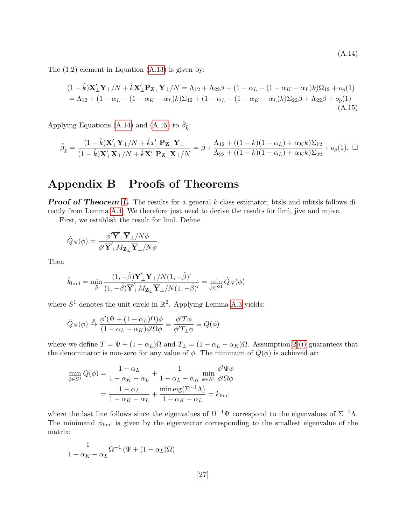<span id="page-28-0"></span>(A.14)

The  $(1,2)$  element in Equation  $(A.13)$  is given by:

$$
(1 - \hat{k})\mathbf{X}_{\perp}'\mathbf{Y}_{\perp}/N + \hat{k}\mathbf{X}_{\perp}'\mathbf{P}_{\mathbf{Z}_{\perp}}\mathbf{Y}_{\perp}/N = \Lambda_{12} + \Lambda_{22}\beta + (1 - \alpha_{L} - (1 - \alpha_{K} - \alpha_{L})k)\Omega_{12} + o_{p}(1)
$$
  
=  $\Lambda_{12} + (1 - \alpha_{L} - (1 - \alpha_{K} - \alpha_{L})k)\Sigma_{12} + (1 - \alpha_{L} - (1 - \alpha_{K} - \alpha_{L})k)\Sigma_{22}\beta + \Lambda_{22}\beta + o_{p}(1)$  (A.15)

Applying Equations [\(A.14\)](#page-27-1) and [\(A.15\)](#page-28-0) to  $\hat{\beta}_{\hat{k}}$ :

$$
\hat{\beta}_{\hat{k}} = \frac{(1-\hat{k})\mathbf{X}_{\perp}'\mathbf{Y}_{\perp}/N + \hat{k}x_{\perp}'\mathbf{P}_{\mathbf{Z}_{\perp}}\mathbf{Y}_{\perp}}{(1-\hat{k})\mathbf{X}_{\perp}'\mathbf{X}_{\perp}/N + \hat{k}\mathbf{X}_{\perp}'\mathbf{P}_{\mathbf{Z}_{\perp}}\mathbf{X}_{\perp}/N} = \beta + \frac{\Lambda_{12} + ((1-k)(1-\alpha_L) + \alpha_K k)\Sigma_{12}}{\Lambda_{22} + ((1-k)(1-\alpha_L) + \alpha_K k)\Sigma_{22}} + o_p(1). \quad \Box
$$

## Appendix B Proofs of Theorems

**Proof of Theorem [1.](#page-10-0)** The results for a general k-class estimator, btsls and mbtsls follows directly from Lemma [A.4.](#page-27-2) We therefore just need to derive the results for liml, jive and mjive.

First, we establish the result for liml. Define

$$
\hat{Q}_N(\phi) = \frac{\phi' \overline{\mathbf{Y}}_\perp' \overline{\mathbf{Y}}_\perp/N\phi}{\phi' \overline{\mathbf{Y}}_\perp'M_{\mathbf{Z}_\perp} \overline{\mathbf{Y}}_\perp/N\phi}
$$

Then

$$
\hat{k}_{\text{liml}} = \min_{\tilde{\beta}} \frac{(1, -\tilde{\beta})\overline{\mathbf{Y}}'_{\perp} \overline{\mathbf{Y}}_{\perp} / N(1, -\tilde{\beta})'}{(1, -\tilde{\beta})\overline{\mathbf{Y}}'_{\perp} M_{\mathbf{Z}_{\perp}} \overline{\mathbf{Y}}_{\perp} / N(1, -\tilde{\beta})'} = \min_{\phi \in S^{1}} \hat{Q}_{N}(\phi)
$$

.

where  $S^1$  denotes the unit circle in  $\mathbb{R}^2$ . Applying Lemma [A.3](#page-25-3) yields:

$$
\hat{Q}_N(\phi) \xrightarrow{p} \frac{\phi'(\Psi + (1 - \alpha_L)\Omega)\phi}{(1 - \alpha_L - \alpha_K)\phi'\Omega\phi} \equiv \frac{\phi'T\phi}{\phi'T_\perp\phi} \equiv Q(\phi)
$$

where we define  $T = \Psi + (1 - \alpha_L)\Omega$  and  $T_{\perp} = (1 - \alpha_L - \alpha_K)\Omega$ . Assumption [2](#page-9-5) [\(i\)](#page-9-6) guarantees that the denominator is non-zero for any value of  $\phi$ . The minimum of  $Q(\phi)$  is achieved at:

$$
\min_{\phi \in S^1} Q(\phi) = \frac{1 - \alpha_L}{1 - \alpha_K - \alpha_L} + \frac{1}{1 - \alpha_L - \alpha_K} \min_{\phi \in S^1} \frac{\phi' \Psi \phi}{\phi' \Omega \phi}
$$

$$
= \frac{1 - \alpha_L}{1 - \alpha_K - \alpha_L} + \frac{\min \text{eig}(\Sigma^{-1} \Lambda)}{1 - \alpha_K - \alpha_L} = k_{\text{liml}}
$$

where the last line follows since the eigenvalues of  $\Omega^{-1}\Psi$  correspond to the eigenvalues of  $\Sigma^{-1}\Lambda$ . The minimand  $\phi_{\text{lim}}$  is given by the eigenvector corresponding to the smallest eigenvalue of the matrix:

$$
\frac{1}{1 - \alpha_K - \alpha_L} \Omega^{-1} \left( \Psi + (1 - \alpha_L) \Omega \right)
$$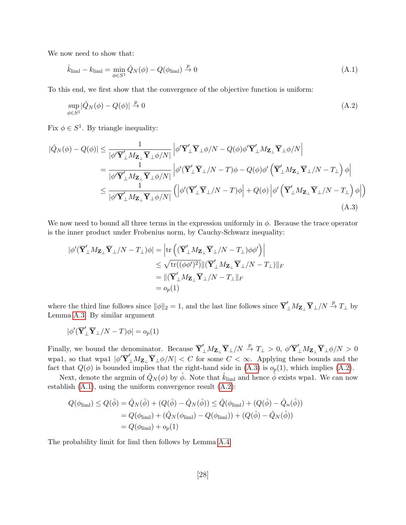We now need to show that:

<span id="page-29-2"></span><span id="page-29-1"></span>
$$
\hat{k}_{\text{liml}} - k_{\text{liml}} = \min_{\phi \in S^1} \hat{Q}_N(\phi) - Q(\phi_{\text{liml}}) \stackrel{p}{\to} 0 \tag{A.1}
$$

To this end, we first show that the convergence of the objective function is uniform:

<span id="page-29-0"></span>
$$
\sup_{\phi \in S^1} |\hat{Q}_N(\phi) - Q(\phi)| \xrightarrow{p} 0 \tag{A.2}
$$

Fix  $\phi \in S^1$ . By triangle inequality:

$$
|\hat{Q}_{N}(\phi) - Q(\phi)| \leq \frac{1}{|\phi'\overline{\mathbf{Y}}'_{\perp}M_{\mathbf{Z}_{\perp}}\overline{\mathbf{Y}}_{\perp}\phi/N|} \left|\phi'\overline{\mathbf{Y}}'_{\perp}\overline{\mathbf{Y}}_{\perp}\phi/N - Q(\phi)\phi'\overline{\mathbf{Y}}'_{\perp}M_{\mathbf{Z}_{\perp}}\overline{\mathbf{Y}}_{\perp}\phi/N| \right|
$$
  
\n
$$
= \frac{1}{|\phi'\overline{\mathbf{Y}}'_{\perp}M_{\mathbf{Z}_{\perp}}\overline{\mathbf{Y}}_{\perp}\phi/N|} \left|\phi'(\overline{\mathbf{Y}}'_{\perp}\overline{\mathbf{Y}}_{\perp}/N - T)\phi - Q(\phi)\phi'\left(\overline{\mathbf{Y}}'_{\perp}M_{\mathbf{Z}_{\perp}}\overline{\mathbf{Y}}_{\perp}/N - T_{\perp}\right)\phi\right|
$$
  
\n
$$
\leq \frac{1}{|\phi'\overline{\mathbf{Y}}'_{\perp}M_{\mathbf{Z}_{\perp}}\overline{\mathbf{Y}}_{\perp}\phi/N|} \left(\left|\phi'(\overline{\mathbf{Y}}'_{\perp}\overline{\mathbf{Y}}_{\perp}/N - T)\phi\right| + Q(\phi)\left|\phi'\left(\overline{\mathbf{Y}}'_{\perp}M_{\mathbf{Z}_{\perp}}\overline{\mathbf{Y}}_{\perp}/N - T_{\perp}\right)\phi\right|\right)
$$
  
\n(A.3)

We now need to bound all three terms in the expression uniformly in  $\phi$ . Because the trace operator is the inner product under Frobenius norm, by Cauchy-Schwarz inequality:

$$
\begin{aligned} |\phi'(\overline{\mathbf{Y}}_{\perp}' M_{\mathbf{Z}_{\perp}} \overline{\mathbf{Y}}_{\perp}/N - T_{\perp})\phi| &= \left| \text{tr}\left( (\overline{\mathbf{Y}}_{\perp}' M_{\mathbf{Z}_{\perp}} \overline{\mathbf{Y}}_{\perp}/N - T_{\perp})\phi \phi' \right) \right| \\ &\leq \sqrt{\text{tr}((\phi \phi')^2)} ||(\overline{\mathbf{Y}}_{\perp}' M_{\mathbf{Z}_{\perp}} \overline{\mathbf{Y}}_{\perp}/N - T_{\perp}) ||_F \\ &= ||(\overline{\mathbf{Y}}_{\perp}' M_{\mathbf{Z}_{\perp}} \overline{\mathbf{Y}}_{\perp}/N - T_{\perp}||_F \\ &= o_p(1) \end{aligned}
$$

where the third line follows since  $\|\phi\|_2 = 1$ , and the last line follows since  $\overline{\mathbf{Y}}'_{\perp} M_{\mathbf{Z}_{\perp}} \overline{\mathbf{Y}}_{\perp}/N \stackrel{p}{\to} T_{\perp}$  by Lemma [A.3.](#page-25-3) By similar argument

$$
|\phi'(\overline{\mathbf{Y}}_{\perp}'\overline{\mathbf{Y}}_{\perp}/N-T)\phi|=o_p(1)
$$

Finally, we bound the denominator. Because  $\overline{\mathbf{Y}}'_{\perp} M_{\mathbf{Z}_{\perp}} \overline{\mathbf{Y}}_{\perp}/N \stackrel{p}{\to} T_{\perp} > 0$ ,  $\phi' \overline{\mathbf{Y}}'_{\perp} M_{\mathbf{Z}_{\perp}} \overline{\mathbf{Y}}_{\perp} \phi/N > 0$ wpa1, so that wpa1  $|\phi'\overline{Y}'_{\perp}M_{Z_{\perp}}\overline{Y}_{\perp}\phi/N| < C$  for some  $C < \infty$ . Applying these bounds and the fact that  $Q(\phi)$  is bounded implies that the right-hand side in  $(A.3)$  is  $o_p(1)$ , which implies  $(A.2)$ .

Next, denote the argmin of  $\hat{Q}_N(\phi)$  by  $\hat{\phi}$ . Note that  $\hat{k}_{\text{liml}}$  and hence  $\hat{\phi}$  exists wpa1. We can now establish [\(A.1\)](#page-29-2), using the uniform convergence result [\(A.2\)](#page-29-1):

$$
Q(\phi_{\text{lim1}}) \le Q(\hat{\phi}) = \hat{Q}_N(\hat{\phi}) + (Q(\hat{\phi}) - \hat{Q}_N(\hat{\phi})) \le \hat{Q}(\phi_{\text{lim1}}) + (Q(\hat{\phi}) - \hat{Q}_n(\hat{\phi}))
$$
  
=  $Q(\phi_{\text{lim1}}) + (\hat{Q}_N(\phi_{\text{lim1}}) - Q(\phi_{\text{lim1}})) + (Q(\hat{\phi}) - \hat{Q}_N(\hat{\phi}))$   
=  $Q(\phi_{\text{lim1}}) + o_p(1)$ 

The probability limit for liml then follows by Lemma [A.4.](#page-27-2)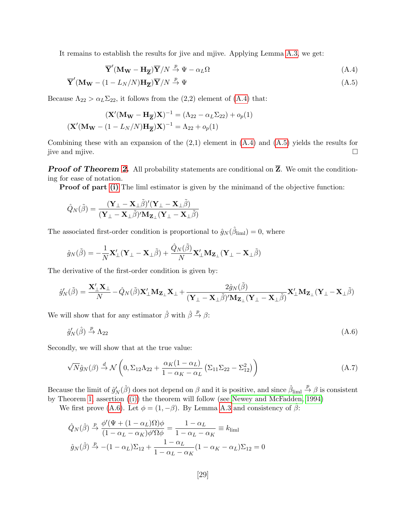It remains to establish the results for jive and mjive. Applying Lemma [A.3,](#page-25-3) we get:

<span id="page-30-1"></span><span id="page-30-0"></span>
$$
\overline{\mathbf{Y}}'(\mathbf{M_W} - \mathbf{H}_{\overline{\mathbf{Z}}})\overline{\mathbf{Y}}/N \stackrel{p}{\to} \Psi - \alpha_L \Omega \tag{A.4}
$$

$$
\overline{\mathbf{Y}}'(\mathbf{M_W} - (1 - L_N/N)\mathbf{H}_{\overline{\mathbf{Z}}})\overline{\mathbf{Y}}/N \stackrel{p}{\to} \Psi
$$
\n(A.5)

Because  $\Lambda_{22} > \alpha_L \Sigma_{22}$ , it follows from the (2,2) element of [\(A.4\)](#page-30-0) that:

$$
(\mathbf{X}'(\mathbf{M_W} - \mathbf{H}_{\overline{\mathbf{Z}}})\mathbf{X})^{-1} = (\Lambda_{22} - \alpha_L \Sigma_{22}) + o_p(1)
$$

$$
(\mathbf{X}'(\mathbf{M_W} - (1 - L_N/N)\mathbf{H}_{\overline{\mathbf{Z}}})\mathbf{X})^{-1} = \Lambda_{22} + o_p(1)
$$

Combining these with an expansion of the (2,1) element in [\(A.4\)](#page-30-0) and [\(A.5\)](#page-30-1) yields the results for jive and mjive.

**Proof of Theorem [2.](#page-12-0)** All probability statements are conditional on  $\overline{Z}$ . We omit the conditioning for ease of notation.

**Proof of part [\(i\)](#page-12-3)** The liml estimator is given by the minimand of the objective function:

$$
\hat{Q}_N(\tilde{\beta}) = \frac{(\mathbf{Y}_{\perp} - \mathbf{X}_{\perp} \tilde{\beta})'(\mathbf{Y}_{\perp} - \mathbf{X}_{\perp} \tilde{\beta})}{(\mathbf{Y}_{\perp} - \mathbf{X}_{\perp} \tilde{\beta})' \mathbf{M}_{\mathbf{Z}_{\perp}} (\mathbf{Y}_{\perp} - \mathbf{X}_{\perp} \tilde{\beta})}
$$

The associated first-order condition is proportional to  $\hat{g}_N(\hat{\beta}_{\text{liml}}) = 0$ , where

$$
\hat{g}_N(\tilde{\boldsymbol{\beta}}) = -\frac{1}{N}\mathbf{X}_\perp'(\mathbf{Y}_\perp - \mathbf{X}_\perp \tilde{\boldsymbol{\beta}}) + \frac{\hat{Q}_N(\tilde{\boldsymbol{\beta}})}{N}\mathbf{X}_\perp' \mathbf{M}_{\mathbf{Z}_\perp}(\mathbf{Y}_\perp - \mathbf{X}_\perp \tilde{\boldsymbol{\beta}})
$$

The derivative of the first-order condition is given by:

$$
\hat{g}'_N(\tilde{\beta}) = \frac{\mathbf{X}'_{\perp}\mathbf{X}_{\perp}}{N} - \hat{Q}_N(\tilde{\beta})\mathbf{X}'_{\perp}\mathbf{M}_{\mathbf{Z}_{\perp}}\mathbf{X}_{\perp} + \frac{2\hat{g}_N(\tilde{\beta})}{(\mathbf{Y}_{\perp} - \mathbf{X}_{\perp}\tilde{\beta})'\mathbf{M}_{\mathbf{Z}_{\perp}}(\mathbf{Y}_{\perp} - \mathbf{X}_{\perp}\tilde{\beta})}\mathbf{X}'_{\perp}\mathbf{M}_{\mathbf{Z}_{\perp}}(\mathbf{Y}_{\perp} - \mathbf{X}_{\perp}\tilde{\beta})
$$

We will show that for any estimator  $\hat{\beta}$  with  $\hat{\beta} \stackrel{p}{\rightarrow} \beta$ :

<span id="page-30-2"></span>
$$
\hat{g}'_N(\hat{\beta}) \stackrel{p}{\to} \Lambda_{22} \tag{A.6}
$$

Secondly, we will show that at the true value:

<span id="page-30-3"></span>
$$
\sqrt{N}\hat{g}_N(\beta) \stackrel{d}{\rightarrow} \mathcal{N}\left(0, \Sigma_{12}\Lambda_{22} + \frac{\alpha_K(1-\alpha_L)}{1-\alpha_K-\alpha_L} \left(\Sigma_{11}\Sigma_{22} - \Sigma_{12}^2\right)\right) \tag{A.7}
$$

Because the limit of  $\hat{g}'_N(\hat{\beta})$  does not depend on  $\beta$  and it is positive, and since  $\hat{\beta}_{\text{liml}} \stackrel{p}{\to} \beta$  is consistent by Theorem [1,](#page-10-0) assertion [\(\(i\)\)](#page-12-3) the theorem will follow (see [Newey and McFadden, 1994\)](#page-42-11)

We first prove [\(A.6\)](#page-30-2). Let  $\phi = (1, -\beta)$ . By Lemma [A.3](#page-25-3) and consistency of  $\hat{\beta}$ :

$$
\hat{Q}_N(\hat{\beta}) \xrightarrow{p} \frac{\phi'(\Psi + (1 - \alpha_L)\Omega)\phi}{(1 - \alpha_L - \alpha_K)\phi'\Omega\phi} = \frac{1 - \alpha_L}{1 - \alpha_L - \alpha_K} \equiv k_{\text{lim}}
$$

$$
\hat{g}_N(\hat{\beta}) \xrightarrow{p} -(1 - \alpha_L)\Sigma_{12} + \frac{1 - \alpha_L}{1 - \alpha_L - \alpha_K}(1 - \alpha_K - \alpha_L)\Sigma_{12} = 0
$$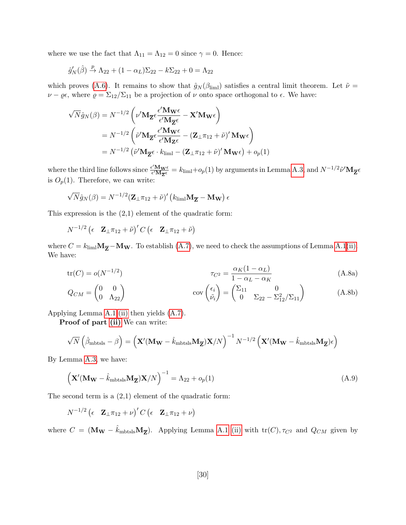where we use the fact that  $\Lambda_{11} = \Lambda_{12} = 0$  since  $\gamma = 0$ . Hence:

$$
\hat{g}'_N(\hat{\beta}) \stackrel{p}{\rightarrow} \Lambda_{22} + (1 - \alpha_L) \Sigma_{22} - k \Sigma_{22} + 0 = \Lambda_{22}
$$

which proves [\(A.6\)](#page-30-2). It remains to show that  $\hat{g}_N(\beta_{\text{lim}})$  satisfies a central limit theorem. Let  $\tilde{\nu} =$  $\nu - \varrho \epsilon$ , where  $\varrho = \Sigma_{12}/\Sigma_{11}$  be a projection of  $\nu$  onto space orthogonal to  $\epsilon$ . We have:

$$
\sqrt{N}\hat{g}_N(\beta) = N^{-1/2} \left( \nu' \mathbf{M}_{\overline{Z}} \epsilon \frac{\epsilon' \mathbf{M}_{\mathbf{W}} \epsilon}{\epsilon' \mathbf{M}_{\overline{Z}} \epsilon} - \mathbf{X}' \mathbf{M}_{\mathbf{W}} \epsilon \right)
$$
  
=  $N^{-1/2} \left( \tilde{\nu}' \mathbf{M}_{\overline{Z}} \epsilon \frac{\epsilon' \mathbf{M}_{\mathbf{W}} \epsilon}{\epsilon' \mathbf{M}_{\mathbf{Z}} \epsilon} - (\mathbf{Z}_{\perp} \pi_{12} + \tilde{\nu})' \mathbf{M}_{\mathbf{W}} \epsilon \right)$   
=  $N^{-1/2} \left( \tilde{\nu}' \mathbf{M}_{\overline{Z}} \epsilon \cdot k_{\text{liml}} - (\mathbf{Z}_{\perp} \pi_{12} + \tilde{\nu})' \mathbf{M}_{\mathbf{W}} \epsilon \right) + o_p(1)$ 

where the third line follows since  $\frac{\epsilon' M_{\mathbf{W}} \epsilon}{\epsilon' M_{\mathbf{Z}} \epsilon} = k_{\text{liml}} + o_p(1)$  by arguments in Lemma [A.3,](#page-25-3) and  $N^{-1/2} \tilde{\nu}' M_{\mathbf{Z}} \epsilon$ is  $O_p(1)$ . Therefore, we can write:

$$
\sqrt{N}\hat{g}_N(\beta) = N^{-1/2} (\mathbf{Z}_{\perp}\pi_{12} + \tilde{\nu})' (k_{\text{liml}}\mathbf{M}_{\overline{\mathbf{Z}}} - \mathbf{M}_{\mathbf{W}}) \epsilon
$$

This expression is the (2,1) element of the quadratic form:

 $N^{-1/2} \begin{pmatrix} \epsilon & {\bf Z}_\perp \pi_{12} + \tilde \nu \end{pmatrix}^\prime C \begin{pmatrix} \epsilon & {\bf Z}_\perp \pi_{12} + \tilde \nu \end{pmatrix}$ 

where  $C = k_{\text{lim}}\mathbf{M}_{\overline{Z}} - \mathbf{M}_{\mathbf{W}}$ . To establish [\(A.7\)](#page-30-3), we need to check the assumptions of Lemma [A.1](#page-22-0)[\(ii\).](#page-23-0) We have:

<span id="page-31-0"></span>
$$
\operatorname{tr}(C) = o(N^{-1/2}) \qquad \qquad \tau_{C^2} = \frac{\alpha_K (1 - \alpha_L)}{1 - \alpha_L - \alpha_K} \tag{A.8a}
$$

$$
Q_{CM} = \begin{pmatrix} 0 & 0 \\ 0 & \Lambda_{22} \end{pmatrix} \qquad \qquad \text{cov}\begin{pmatrix} \epsilon_i \\ \tilde{\nu}_i \end{pmatrix} = \begin{pmatrix} \Sigma_{11} & 0 \\ 0 & \Sigma_{22} - \Sigma_{12}^2 / \Sigma_{11} \end{pmatrix} \qquad (A.8b)
$$

Applying Lemma [A.1](#page-22-0) [\(ii\)](#page-23-0) then yields [\(A.7\)](#page-30-3).

Proof of part [\(ii\)](#page-12-1) We can write:

$$
\sqrt{N}\left(\hat{\beta}_{\rm{mbtsls}}-\beta\right)=\left(\mathbf{X}'(\mathbf{M_W}-\hat{k}_{\rm{mbtsls}}\mathbf{M}_{\overline{\mathbf{Z}}})\mathbf{X}/N\right)^{-1}N^{-1/2}\left(\mathbf{X}'(\mathbf{M_W}-\hat{k}_{\rm{mbtsls}}\mathbf{M}_{\overline{\mathbf{Z}}})\epsilon\right)
$$

By Lemma [A.3,](#page-25-3) we have:

<span id="page-31-1"></span>
$$
\left(\mathbf{X}'(\mathbf{M}_{\mathbf{W}} - \hat{k}_{\text{mbtsls}}\mathbf{M}_{\overline{\mathbf{Z}}})\mathbf{X}/N\right)^{-1} = \Lambda_{22} + o_p(1) \tag{A.9}
$$

The second term is a (2,1) element of the quadratic form:

$$
N^{-1/2} \left(\epsilon \quad \mathbf{Z}_{\perp} \pi_{12} + \nu \right)' C \left(\epsilon \quad \mathbf{Z}_{\perp} \pi_{12} + \nu \right)
$$

where  $C = (\mathbf{M_W} - \hat{k}_{\text{mbtsls}} \mathbf{M_{Z}})$ . Applying Lemma [A.1](#page-22-0) [\(ii\)](#page-23-0) with  $\text{tr}(C), \tau_{C^2}$  and  $Q_{CM}$  given by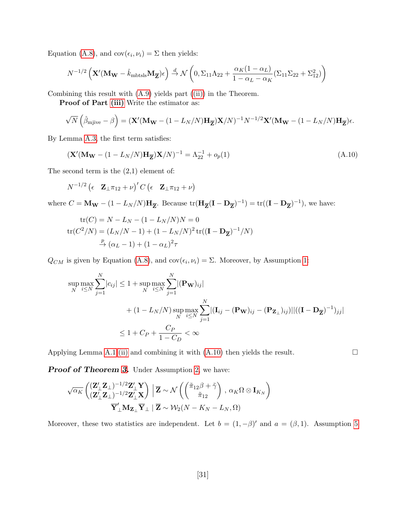Equation [\(A.8\)](#page-31-0), and  $cov(\epsilon_i, \nu_i) = \Sigma$  then yields:

$$
N^{-1/2}\left(\mathbf{X}'(\mathbf{M_W} - \hat{k}_{\text{mbtsls}}\mathbf{M}_{\overline{\mathbf{Z}}})\epsilon\right) \stackrel{d}{\rightarrow} \mathcal{N}\left(0, \Sigma_{11}\Lambda_{22} + \frac{\alpha_K(1-\alpha_L)}{1-\alpha_L-\alpha_K}(\Sigma_{11}\Sigma_{22} + \Sigma_{12}^2)\right)
$$

Combining this result with [\(A.9\)](#page-31-1) yields part [\(\(ii\)\)](#page-12-1) in the Theorem.

Proof of Part [\(iii\)](#page-12-2) Write the estimator as:

$$
\sqrt{N}\left(\hat{\beta}_{\text{mjive}} - \beta\right) = (\mathbf{X}'(\mathbf{M_W} - (1 - L_N/N)\mathbf{H}_{\overline{\mathbf{Z}}})\mathbf{X}/N)^{-1}N^{-1/2}\mathbf{X}'(\mathbf{M_W} - (1 - L_N/N)\mathbf{H}_{\overline{\mathbf{Z}}})\epsilon.
$$

By Lemma [A.3,](#page-25-3) the first term satisfies:

<span id="page-32-0"></span>
$$
\left(\mathbf{X}'(\mathbf{M_W} - (1 - L_N/N)\mathbf{H}_{\overline{\mathbf{Z}}})\mathbf{X}/N\right)^{-1} = \Lambda_{22}^{-1} + o_p(1)
$$
\n(A.10)

The second term is the  $(2,1)$  element of:

$$
N^{-1/2} (\epsilon \mathbf{Z}_{\perp} \pi_{12} + \nu)' C (\epsilon \mathbf{Z}_{\perp} \pi_{12} + \nu)
$$

where  $C = M_{\mathbf{W}} - (1 - L_N/N) \mathbf{H}_{\overline{\mathbf{Z}}}$ . Because  $\text{tr}(\mathbf{H}_{\overline{\mathbf{Z}}}(\mathbf{I} - \mathbf{D}_{\overline{\mathbf{Z}}})^{-1}) = \text{tr}((\mathbf{I} - \mathbf{D}_{\overline{\mathbf{Z}}})^{-1})$ , we have:

$$
\text{tr}(C) = N - L_N - (1 - L_N/N)N = 0
$$
  
 
$$
\text{tr}(C^2/N) = (L_N/N - 1) + (1 - L_N/N)^2 \text{tr}((\mathbf{I} - \mathbf{D}_{\overline{Z}})^{-1}/N)
$$
  
\n
$$
\xrightarrow{p} (\alpha_L - 1) + (1 - \alpha_L)^2 \tau
$$

 $Q_{CM}$  is given by Equation [\(A.8\)](#page-31-0), and  $cov(\epsilon_i, \nu_i) = \Sigma$ . Moreover, by Assumption [1:](#page-9-2)

$$
\sup_{N} \max_{i \leq N} \sum_{j=1}^{N} |c_{ij}| \leq 1 + \sup_{N} \max_{i \leq N} \sum_{j=1}^{N} |(\mathbf{P}_{\mathbf{W}})_{ij}|
$$
  
+  $(1 - L_N/N) \sup_{N} \max_{i \leq N} \sum_{j=1}^{N} |(\mathbf{I}_{ij} - (\mathbf{P}_{\mathbf{W}})_{ij} - (\mathbf{P}_{\mathbf{Z}_{\perp}})_{ij})||((\mathbf{I} - \mathbf{D}_{\overline{\mathbf{Z}}})^{-1})_{jj}|$   
 $\leq 1 + C_P + \frac{C_P}{1 - C_D} < \infty$ 

Applying Lemma [A.1](#page-22-0) [\(ii\)](#page-23-0) and combining it with  $(A.10)$  then yields the result.  $\square$ 

Proof of Theorem [3.](#page-13-1) Under Assumption [2,](#page-9-5) we have:

$$
\frac{\sqrt{\alpha_K} \left( \left( \mathbf{Z}_{\perp}^{\prime} \mathbf{Z}_{\perp} \right)^{-1/2} \mathbf{Z}_{\perp}^{\prime} \mathbf{Y}}{\left( \mathbf{Z}_{\perp}^{\prime} \mathbf{Z}_{\perp} \right)^{-1/2} \mathbf{Z}_{\perp}^{\prime} \mathbf{X}} \right) \left| \overline{\mathbf{Z}} \sim \mathcal{N} \left( \left( \begin{matrix} \tilde{\pi}_{12} \beta + \tilde{\gamma} \\ \tilde{\pi}_{12} \end{matrix} \right), \alpha_K \Omega \otimes \mathbf{I}_{K_N} \right) \right. \\ \left. \overline{\mathbf{Y}}_{\perp}^{\prime} \mathbf{M}_{\mathbf{Z}_{\perp}} \overline{\mathbf{Y}}_{\perp} \left| \overline{\mathbf{Z}} \sim \mathcal{W}_2 (N - K_N - L_N, \Omega) \right. \right)
$$

Moreover, these two statistics are independent. Let  $b = (1, -\beta)'$  and  $a = (\beta, 1)$ . Assumption [5](#page-13-0)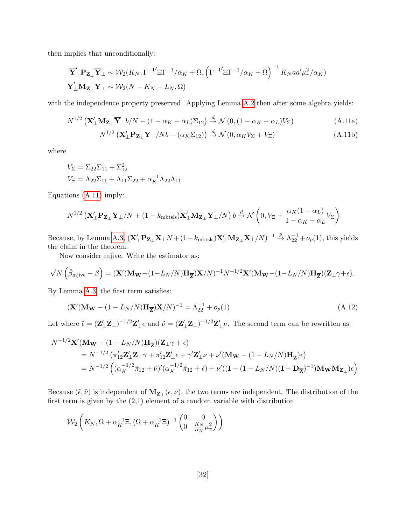then implies that unconditionally:

$$
\overline{\mathbf{Y}}_{\perp}' \mathbf{P}_{\mathbf{Z}_{\perp}} \overline{\mathbf{Y}}_{\perp} \sim \mathcal{W}_2(K_N, \Gamma^{-1'} \Xi \Gamma^{-1} / \alpha_K + \Omega, (\Gamma^{-1'} \Xi \Gamma^{-1} / \alpha_K + \Omega)^{-1} K_N a a' \mu_{\pi}^2 / \alpha_K)
$$
  

$$
\overline{\mathbf{Y}}_{\perp}' \mathbf{M}_{\mathbf{Z}_{\perp}} \overline{\mathbf{Y}}_{\perp} \sim \mathcal{W}_2(N - K_N - L_N, \Omega)
$$

with the independence property preserved. Applying Lemma [A.2](#page-25-4) then after some algebra yields:

$$
N^{1/2} \left( \mathbf{X}_{\perp}^{\prime} \mathbf{M}_{\mathbf{Z}_{\perp}} \overline{\mathbf{Y}}_{\perp} b / N - (1 - \alpha_K - \alpha_L) \Sigma_{12} \right) \stackrel{d}{\rightarrow} \mathcal{N} \left( 0, \left( 1 - \alpha_K - \alpha_L \right) V_{\Sigma} \right) \tag{A.11a}
$$

<span id="page-33-0"></span>
$$
N^{1/2} \left( \mathbf{X}_{\perp}^{\prime} \mathbf{P}_{\mathbf{Z}_{\perp}} \overline{\mathbf{Y}}_{\perp} / N b - (\alpha_K \Sigma_{12}) \right) \stackrel{d}{\to} \mathcal{N} \left( 0, \alpha_K V_{\Sigma} + V_{\Xi} \right)
$$
(A.11b)

where

$$
V_{\Sigma} = \Sigma_{22} \Sigma_{11} + \Sigma_{12}^2
$$
  
\n
$$
V_{\Xi} = \Lambda_{22} \Sigma_{11} + \Lambda_{11} \Sigma_{22} + \alpha_K^{-1} \Lambda_{22} \Lambda_{11}
$$

Equations [\(A.11\)](#page-33-0) imply:

$$
N^{1/2} \left( \mathbf{X}_{\perp}^{\prime} \mathbf{P}_{\mathbf{Z}_{\perp}} \overline{\mathbf{Y}}_{\perp} / N + (1 - k_{\text{mbtsls}}) \mathbf{X}_{\perp}^{\prime} \mathbf{M}_{\mathbf{Z}_{\perp}} \overline{\mathbf{Y}}_{\perp} / N \right) b \stackrel{d}{\rightarrow} \mathcal{N} \left( 0, V_{\Xi} + \frac{\alpha_K (1 - \alpha_L)}{1 - \alpha_K - \alpha_L} V_{\Sigma} \right)
$$

Because, by Lemma [A.3,](#page-25-3)  $(\mathbf{X}'_{\perp} \mathbf{P}_{\mathbf{Z}_{\perp}} \mathbf{X}_{\perp} N + (1 - k_{\text{mbtsls}}) \mathbf{X}'_{\perp} \mathbf{M}_{\mathbf{Z}_{\perp}} \mathbf{X}_{\perp} / N)^{-1} \stackrel{p}{\rightarrow} \Lambda_{22}^{-1} + o_p(1)$ , this yields the claim in the theorem.

Now consider mjive. Write the estimator as:

$$
\sqrt{N}\left(\hat{\beta}_{\text{mjive}}-\beta\right)=(\mathbf{X}'(\mathbf{M_W}-(1-L_N/N)\mathbf{H}_{\overline{\mathbf{Z}}})\mathbf{X}/N)^{-1}N^{-1/2}\mathbf{X}'(\mathbf{M_W}-(1-L_N/N)\mathbf{H}_{\overline{\mathbf{Z}}})(\mathbf{Z}_\perp\gamma+\epsilon).
$$

By Lemma [A.3,](#page-25-3) the first term satisfies:

$$
\left(\mathbf{X}'(\mathbf{M_W} - (1 - L_N/N)\mathbf{H}_{\overline{\mathbf{Z}}})\mathbf{X}/N\right)^{-1} = \Lambda_{22}^{-1} + o_p(1)
$$
\n(A.12)

Let where  $\tilde{\epsilon} = (\mathbf{Z}_{\perp}'\mathbf{Z}_{\perp})^{-1/2}\mathbf{Z}_{\perp}'\epsilon$  and  $\tilde{\nu} = (\mathbf{Z}_{\perp}'\mathbf{Z}_{\perp})^{-1/2}\mathbf{Z}_{\perp}'\nu$ . The second term can be rewritten as:

$$
N^{-1/2}\mathbf{X}'(\mathbf{M_W} - (1 - L_N/N)\mathbf{H}_{\overline{\mathbf{Z}}})(\mathbf{Z}_{\perp}\gamma + \epsilon)
$$
  
=  $N^{-1/2} \left( \pi'_{12}\mathbf{Z}'_{\perp}\mathbf{Z}_{\perp}\gamma + \pi'_{12}\mathbf{Z}'_{\perp}\epsilon + \gamma'\mathbf{Z}'_{\perp}\nu + \nu'(\mathbf{M_W} - (1 - L_N/N)\mathbf{H}_{\overline{\mathbf{Z}}})\epsilon \right)$   
=  $N^{-1/2} \left( (\alpha_K^{-1/2}\tilde{\pi}_{12} + \tilde{\nu})'(\alpha_K^{-1/2}\tilde{\pi}_{12} + \tilde{\epsilon}) + \nu'((\mathbf{I} - (1 - L_N/N)(\mathbf{I} - \mathbf{D}_{\overline{\mathbf{Z}}})^{-1})\mathbf{M_W}\mathbf{M_{\mathbf{Z}_{\perp}}})\epsilon \right)$ 

Because  $(\tilde{\epsilon}, \tilde{\nu})$  is independent of  $M_{Z_{\perp}}(\epsilon, \nu)$ , the two terms are independent. The distribution of the first term is given by the  $(2,1)$  element of a random variable with distribution

$$
\mathcal{W}_2\left(K_N, \Omega + \alpha_K^{-1} \Xi, (\Omega + \alpha_K^{-1} \Xi)^{-1} \begin{pmatrix} 0 & 0\\ 0 & \frac{K_N}{\alpha_K} \mu_\pi^2 \end{pmatrix} \right)
$$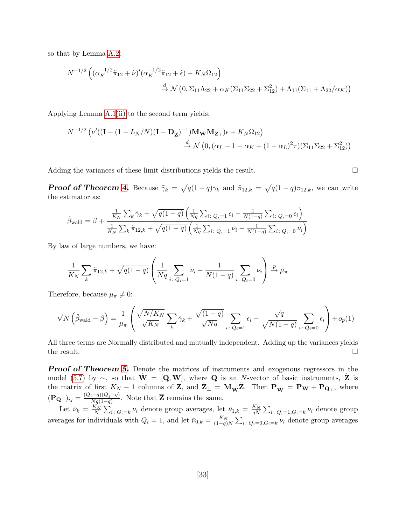so that by Lemma [A.2:](#page-25-4)

$$
N^{-1/2} \left( (\alpha_K^{-1/2} \tilde{\pi}_{12} + \tilde{\nu})' (\alpha_K^{-1/2} \tilde{\pi}_{12} + \tilde{\epsilon}) - K_N \Omega_{12} \right)
$$
  

$$
\stackrel{d}{\to} \mathcal{N} \left( 0, \Sigma_{11} \Lambda_{22} + \alpha_K (\Sigma_{11} \Sigma_{22} + \Sigma_{12}^2) + \Lambda_{11} (\Sigma_{11} + \Lambda_{22} / \alpha_K) \right)
$$

Applying Lemma [A.1](#page-22-0)[\(ii\)](#page-23-0) to the second term yields:

$$
N^{-1/2} \left( \nu' ((\mathbf{I} - (1 - L_N/N)(\mathbf{I} - \mathbf{D}_{\overline{\mathbf{Z}}})^{-1}) \mathbf{M_W} \mathbf{M_{Z_\perp}}) \epsilon + K_N \Omega_{12} \right)
$$
  

$$
\stackrel{d}{\rightarrow} \mathcal{N} \left( 0, (\alpha_L - 1 - \alpha_K + (1 - \alpha_L)^2 \tau) (\Sigma_{11} \Sigma_{22} + \Sigma_{12}^2) \right)
$$

Adding the variances of these limit distributions yields the result.

**Proof of Theorem [4.](#page-18-1)** Because  $\tilde{\gamma}_k = \sqrt{q(1-q)}\gamma_k$  and  $\tilde{\pi}_{12,k} = \sqrt{q(1-q)}\pi_{12,k}$ , we can write the estimator as:

$$
\hat{\beta}_{\text{wald}} = \beta + \frac{\frac{1}{K_N} \sum_k \tilde{\gamma}_k + \sqrt{q(1-q)} \left( \frac{1}{Nq} \sum_{i: Q_i=1} \epsilon_i - \frac{1}{N(1-q)} \sum_{i: Q_i=0} \epsilon_i \right)}{\frac{1}{K_N} \sum_k \tilde{\pi}_{12,k} + \sqrt{q(1-q)} \left( \frac{1}{Nq} \sum_{i: Q_i=1} \nu_i - \frac{1}{N(1-q)} \sum_{i: Q_i=0} \nu_i \right)}
$$

By law of large numbers, we have:

$$
\frac{1}{K_N} \sum_{k} \tilde{\pi}_{12,k} + \sqrt{q(1-q)} \left( \frac{1}{Nq} \sum_{i \colon Q_i = 1} \nu_i - \frac{1}{N(1-q)} \sum_{i \colon Q_i = 0} \nu_i \right) \xrightarrow{p} \mu_{\pi}
$$

Therefore, because  $\mu_{\pi} \neq 0$ :

$$
\sqrt{N}\left(\hat{\beta}_{\text{wald}}-\beta\right)=\frac{1}{\mu_{\pi}}\left(\frac{\sqrt{N/K_N}}{\sqrt{K_N}}\sum_{k}\tilde{\gamma}_k+\frac{\sqrt{(1-q)}}{\sqrt{Nq}}\sum_{i\colon Q_i=1}\epsilon_i-\frac{\sqrt{q}}{\sqrt{N(1-q)}}\sum_{i\colon Q_i=0}\epsilon_i\right)+o_p(1)
$$

All three terms are Normally distributed and mutually independent. Adding up the variances yields the result.  $\square$ 

**Proof of Theorem [5.](#page-18-2)** Denote the matrices of instruments and exogenous regressors in the model [\(5.7\)](#page-18-0) by  $\sim$ , so that  $\mathbf{W} = [\mathbf{Q}, \mathbf{W}]$ , where **Q** is an N-vector of basic instruments, **Z** is the matrix of first  $K_N - 1$  columns of Z, and  $\tilde{\mathbf{Z}}_{\perp} = \mathbf{M}_{\tilde{\mathbf{W}}} \tilde{\mathbf{Z}}$ . Then  $\mathbf{P}_{\tilde{\mathbf{W}}} = \mathbf{P}_{\mathbf{W}} + \mathbf{P}_{\mathbf{Q}_{\perp}}$ , where  $(\mathbf{P}_{\mathbf{Q}_{\perp}})_{ij} = \frac{(Q_i-q)(Q_j-q)}{Na(1-q)}$  $\frac{i-q}{Nq(1-q)}$ . Note that **Z** remains the same.

Let  $\bar{\nu}_k = \frac{K_N}{N} \sum_{i: G_i = k} \nu_i$  denote group averages, let  $\bar{\nu}_{1,k} = \frac{K_N}{qN} \sum_{i: Q_i = 1, G_i = k} \nu_i$  denote group averages for individuals with  $Q_i = 1$ , and let  $\bar{\nu}_{0,k} = \frac{K_N}{(1-q)N} \sum_{i: Q_i = 0, G_i = k} \nu_i$  denote group averages

$$
\boxed{\phantom{0}}
$$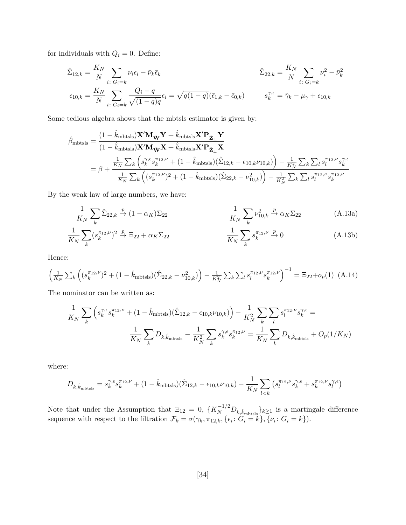for individuals with  $Q_i = 0$ . Define:

$$
\hat{\Sigma}_{12,k} = \frac{K_N}{N} \sum_{i \colon G_i = k} \nu_i \epsilon_i - \bar{\nu}_k \bar{\epsilon}_k
$$
\n
$$
\hat{\Sigma}_{22,k} = \frac{K_N}{N} \sum_{i \colon G_i = k} \nu_i^2 - \bar{\nu}_k^2
$$
\n
$$
\epsilon_{10,k} = \frac{K_N}{N} \sum_{i \colon G_i = k} \frac{Q_i - q}{\sqrt{(1 - q)q}} \epsilon_i = \sqrt{q(1 - q)} (\bar{\epsilon}_{1,k} - \bar{\epsilon}_{0,k})
$$
\n
$$
s_k^{\gamma, \epsilon} = \tilde{\gamma}_k - \mu_\gamma + \epsilon_{10,k}
$$

Some tedious algebra shows that the mbtsls estimator is given by:

$$
\hat{\beta}_{\text{mbtsls}} = \frac{(1 - \hat{k}_{\text{mbtsls}}) \mathbf{X}' \mathbf{M}_{\tilde{\mathbf{W}}} \mathbf{Y} + \hat{k}_{\text{mbtsls}} \mathbf{X}' \mathbf{P}_{\tilde{\mathbf{Z}}_{\perp}} \mathbf{Y}}{(1 - \hat{k}_{\text{mbtsls}}) \mathbf{X}' \mathbf{M}_{\tilde{\mathbf{W}}} \mathbf{X} + \hat{k}_{\text{mbtsls}} \mathbf{X}' \mathbf{P}_{\tilde{\mathbf{Z}}_{\perp}} \mathbf{X}}
$$
\n
$$
= \beta + \frac{\frac{1}{K_N} \sum_{k} \left( s_k^{\gamma, \epsilon} s_k^{\pi_{12}, \nu} + (1 - \hat{k}_{\text{mbtsls}}) (\hat{\Sigma}_{12, k} - \epsilon_{10, k} \nu_{10, k}) \right) - \frac{1}{K_N^2} \sum_{k} \sum_{l} s_l^{\pi_{12}, \nu} s_k^{\gamma, \epsilon}}{\frac{1}{K_N} \sum_{k} \left( (s_k^{\pi_{12}, \nu})^2 + (1 - \hat{k}_{\text{mbtsls}}) (\hat{\Sigma}_{22, k} - \nu_{10, k}^2) \right) - \frac{1}{K_N^2} \sum_{k} \sum_{l} s_l^{\pi_{12}, \nu} s_k^{\pi_{12}, \nu}}
$$

By the weak law of large numbers, we have:

<span id="page-35-1"></span>
$$
\frac{1}{K_N} \sum_{k} \hat{\Sigma}_{22,k} \xrightarrow{p} (1 - \alpha_K) \Sigma_{22} \qquad \qquad \frac{1}{K_N} \sum_{k} \nu_{10,k}^2 \xrightarrow{p} \alpha_K \Sigma_{22} \qquad (A.13a)
$$

<span id="page-35-0"></span>
$$
\frac{1}{K_N} \sum_k (s_k^{\pi_{12}, \nu})^2 \xrightarrow{p} \Xi_{22} + \alpha_K \Sigma_{22} \qquad \qquad \frac{1}{K_N} \sum_k s_k^{\pi_{12}, \nu} \xrightarrow{p} 0 \qquad (A.13b)
$$

Hence:

$$
\left(\frac{1}{K_N} \sum_{k} \left( (s_k^{\pi_{12}, \nu})^2 + (1 - \hat{k}_{\text{mbtsls}}) (\hat{\Sigma}_{22, k} - \nu_{10, k}^2) \right) - \frac{1}{K_N^2} \sum_{k} \sum_{l} s_l^{\pi_{12}, \nu} s_k^{\pi_{12}, \nu} \right)^{-1} = \Xi_{22} + o_p(1) \tag{A.14}
$$

The nominator can be written as:

$$
\frac{1}{K_N} \sum_{k} \left( s_k^{\gamma, \epsilon} s_k^{\pi_{12}, \nu} + (1 - \hat{k}_{\text{mbtsls}}) (\hat{\Sigma}_{12, k} - \epsilon_{10, k} \nu_{10, k}) \right) - \frac{1}{K_N^2} \sum_{k} \sum_{l} s_l^{\pi_{12}, \nu} s_l^{\gamma, \epsilon} =
$$
\n
$$
\frac{1}{K_N} \sum_{k} D_{k, \hat{k}_{\text{mbtsls}}} - \frac{1}{K_N^2} \sum_{k} s_k^{\gamma, \epsilon} s_k^{\pi_{12}, \nu} = \frac{1}{K_N} \sum_{k} D_{k, \hat{k}_{\text{mbtsls}}} + O_p(1/K_N)
$$

where:

$$
D_{k,\hat{k}_{\rm{mbtsls}}} = s_k^{\gamma,\epsilon} s_k^{\pi_{12},\nu} + (1-\hat{k}_{\rm{mbtsls}}) (\hat{\Sigma}_{12,k} - \epsilon_{10,k}\nu_{10,k}) - \frac{1}{K_N} \sum_{l < k} \left( s_l^{\pi_{12},\nu} s_k^{\gamma,\epsilon} + s_k^{\pi_{12},\nu} s_l^{\gamma,\epsilon} \right)
$$

Note that under the Assumption that  $\Xi_{12} = 0$ ,  $\{K_N^{-1/2}D_{k,\hat{k}_{\text{mbts}}} \}_{k \ge 1}$  is a martingale difference sequence with respect to the filtration  $\mathcal{F}_k = \sigma(\gamma_k, \pi_{12,k}, {\{\epsilon_i : G_i = k\}}, {\{\nu_i : G_i = k\}}).$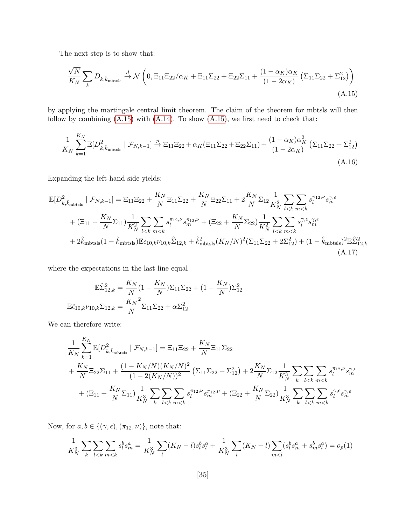The next step is to show that:

<span id="page-36-1"></span><span id="page-36-0"></span>
$$
\frac{\sqrt{N}}{K_N} \sum_{k} D_{k, \hat{k}_{\text{mbtsls}}} \xrightarrow{d} \mathcal{N} \left( 0, \Xi_{11} \Xi_{22} / \alpha_K + \Xi_{11} \Sigma_{22} + \Xi_{22} \Sigma_{11} + \frac{(1 - \alpha_K) \alpha_K}{(1 - 2\alpha_K)} \left( \Sigma_{11} \Sigma_{22} + \Sigma_{12}^2 \right) \right)
$$
\n(A.15)

by applying the martingale central limit theorem. The claim of the theorem for mbtsls will then follow by combining  $(A.15)$  with  $(A.14)$ . To show  $(A.15)$ , we first need to check that:

<span id="page-36-2"></span>
$$
\frac{1}{K_N} \sum_{k=1}^{K_N} \mathbb{E}[D_{k,\hat{k}_{\text{mbtsls}}}^2 \mid \mathcal{F}_{N,k-1}] \xrightarrow{p} \Xi_{11} \Xi_{22} + \alpha_K (\Xi_{11} \Sigma_{22} + \Xi_{22} \Sigma_{11}) + \frac{(1 - \alpha_K) \alpha_K^2}{(1 - 2\alpha_K)} (\Sigma_{11} \Sigma_{22} + \Sigma_{12}^2)
$$
\n(A.16)

Expanding the left-hand side yields:

$$
\mathbb{E}[D_{k,\hat{k}_{\text{mbtsls}}}^{2} \mid \mathcal{F}_{N,k-1}] = \Xi_{11}\Xi_{22} + \frac{K_{N}}{N}\Xi_{11}\Sigma_{22} + \frac{K_{N}}{N}\Xi_{22}\Sigma_{11} + 2\frac{K_{N}}{N}\Sigma_{12}\frac{1}{K_{N}^{2}}\sum_{l\n(A.17)
$$

where the expectations in the last line equal

$$
\mathbb{E}\hat{\Sigma}_{12,k}^2 = \frac{K_N}{N}(1 - \frac{K_N}{N})\Sigma_{11}\Sigma_{22} + (1 - \frac{K_N}{N})\Sigma_{12}^2
$$

$$
\mathbb{E}\hat{\epsilon}_{10,k}\nu_{10,k}\Sigma_{12,k} = \frac{K_N}{N}\Sigma_{11}\Sigma_{22} + \alpha\Sigma_{12}^2
$$

We can therefore write:

$$
\frac{1}{K_N} \sum_{k=1}^{K_N} \mathbb{E}[D_{k,\hat{k}_{\text{mbtsls}}}^2 \mid \mathcal{F}_{N,k-1}] = \Xi_{11} \Xi_{22} + \frac{K_N}{N} \Xi_{11} \Sigma_{22} \n+ \frac{K_N}{N} \Xi_{22} \Sigma_{11} + \frac{(1 - K_N/N)(K_N/N)^2}{(1 - 2(K_N/N))^2} \left( \Sigma_{11} \Sigma_{22} + \Sigma_{12}^2 \right) + 2 \frac{K_N}{N} \Sigma_{12} \frac{1}{K_N^3} \sum_{k} \sum_{l < k} \sum_{m < k} s_l^{\pi_{12}, \nu} s_m^{\gamma_{12}} \kappa_{m}^2 + (\Xi_{11} + \frac{K_N}{N} \Sigma_{11}) \frac{1}{K_N^3} \sum_{k} \sum_{l < k} \sum_{m < k} s_l^{\pi_{12}, \nu} s_m^{\pi_{12}, \nu} + (\Xi_{22} + \frac{K_N}{N} \Sigma_{22}) \frac{1}{K_N^3} \sum_{k} \sum_{l < k} \sum_{m < k} s_l^{\gamma_{1} \epsilon} s_m^{\gamma_{1} \epsilon} s_m^{\gamma_{1} \epsilon}
$$

Now, for  $a, b \in \{(\gamma, \epsilon), (\pi_{12}, \nu)\}\$ , note that:

$$
\frac{1}{K_N^3} \sum_{k} \sum_{l < k} \sum_{m < k} s_l^b s_m^a = \frac{1}{K_N^3} \sum_{l} (K_N - l) s_l^b s_l^a + \frac{1}{K_N^3} \sum_{l} (K_N - l) \sum_{m < l} (s_l^b s_m^a + s_m^b s_l^a) = o_p(1)
$$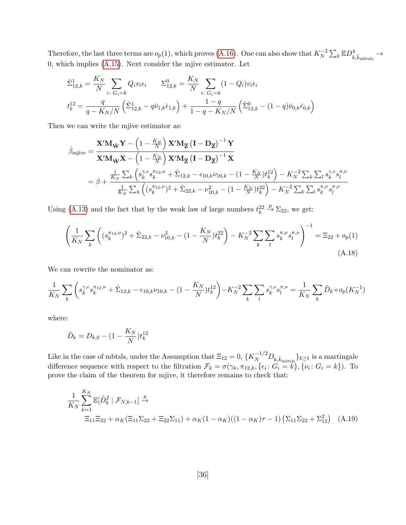Therefore, the last three terms are  $o_p(1)$ , which proves [\(A.16\)](#page-36-1). One can also show that  $K_N^{-2} \sum_k \mathbb{E} D^4_{k,\hat{k}_{\text{mbtsls}}} \to$ 0, which implies [\(A.15\)](#page-36-0). Next consider the mjive estimator. Let

$$
\hat{\Sigma}_{12,k}^{1} = \frac{K_N}{N} \sum_{i: G_i = k} Q_i v_i \epsilon_i \qquad \Sigma_{12,k}^{0} = \frac{K_N}{N} \sum_{i: G_i = k} (1 - Q_i) v_i \epsilon_i
$$
\n
$$
t_k^{12} = \frac{q}{q - K_N/N} \left( \hat{\Sigma}_{12,k}^{1} - q \bar{\nu}_{1,k} \bar{\epsilon}_{1,k} \right) + \frac{1 - q}{1 - q - K_N/N} \left( \hat{\Sigma}_{12,k}^{0} - (1 - q) \bar{\nu}_{0,k} \bar{\epsilon}_{0,k} \right)
$$

Then we can write the mjive estimator as:

$$
\hat{\beta}_{mjive} = \frac{\mathbf{X}' \mathbf{M}_{\tilde{\mathbf{W}}} \mathbf{Y} - \left(1 - \frac{K_N}{N}\right) \mathbf{X}' \mathbf{M}_{\overline{\mathbf{Z}}} \left(\mathbf{I} - \mathbf{D}_{\overline{\mathbf{Z}}}\right)^{-1} \mathbf{Y}}{\mathbf{X}' \mathbf{M}_{\tilde{\mathbf{W}}} \mathbf{X} - \left(1 - \frac{K_N}{N}\right) \mathbf{X}' \mathbf{M}_{\overline{\mathbf{Z}}} \left(\mathbf{I} - \mathbf{D}_{\overline{\mathbf{Z}}}\right)^{-1} \mathbf{X}}
$$
\n
$$
= \beta + \frac{\frac{1}{K_N} \sum_{k} \left(s_k^{\gamma, \epsilon} s_k^{\pi_{12}, \nu} + \hat{\Sigma}_{12, k} - \epsilon_{10, k} \nu_{10, k} - \left(1 - \frac{K_N}{N}\right) t_k^{12}\right) - K_N^{-2} \sum_{k} \sum_{l} s_k^{\gamma, \epsilon} s_l^{\pi, \nu}}{\frac{1}{K_N} \sum_{k} \left((s_k^{\pi_{12}, \nu})^2 + \hat{\Sigma}_{22, k} - \nu_{10, k}^2 - \left(1 - \frac{K_N}{N}\right) t_k^{22}\right) - K_N^{-2} \sum_{k} \sum_{l} s_k^{\pi, \nu} s_l^{\pi, \nu}}
$$

Using [\(A.13\)](#page-35-1) and the fact that by the weak law of large numbers  $t_k^{22} \stackrel{p}{\to} \Sigma_{22}$ , we get:

$$
\left(\frac{1}{K_N} \sum_{k} \left( (s_k^{\pi_{12}, \nu})^2 + \hat{\Sigma}_{22, k} - \nu_{10, k}^2 - (1 - \frac{K_N}{N}) t_k^{22} \right) - K_N^{-2} \sum_{k} \sum_{l} s_k^{\pi, \nu} s_l^{\pi, \nu} \right)^{-1} = \Xi_{22} + o_p(1)
$$
\n(A.18)

We can rewrite the nominator as:

$$
\frac{1}{K_N} \sum_{k} \left( s_k^{\gamma, \epsilon} s_k^{\pi_{12}, \nu} + \hat{\Sigma}_{12, k} - \epsilon_{10, k} \nu_{10, k} - (1 - \frac{K_N}{N}) t_k^{12} \right) - K_N^{-2} \sum_{k} \sum_{l} s_k^{\gamma, \epsilon} s_l^{\pi, \nu} = \frac{1}{K_N} \sum_{k} \tilde{D}_k + o_p(K_N^{-1})
$$

where:

$$
\tilde{D}_k = D_{k,0} - (1 - \frac{K_N}{N})t_k^{12}
$$

Like in the case of mbtsls, under the Assumption that  $\Xi_{12}=0$ ,  $\{K_N^{-1/2}D_{k,\hat{k}_{\text{mbtsls}}}\}_{k\geq1}$  is a martingale difference sequence with respect to the filtration  $\mathcal{F}_k = \sigma(\gamma_k, \pi_{12,k}, {\{\epsilon_i : G_i = k\}}, {\{\nu_i : G_i = k\}})$ . To prove the claim of the theorem for mjive, it therefore remains to check that:

<span id="page-37-0"></span>
$$
\frac{1}{K_N} \sum_{k=1}^{K_N} \mathbb{E}[\tilde{D}_k^2 | \mathcal{F}_{N,k-1}] \xrightarrow{p} \n\Xi_{11} \Xi_{22} + \alpha_K (\Xi_{11} \Sigma_{22} + \Xi_{22} \Sigma_{11}) + \alpha_K (1 - \alpha_K)((1 - \alpha_K)\tau - 1) (\Sigma_{11} \Sigma_{22} + \Sigma_{12}^2)
$$
\n(A.19)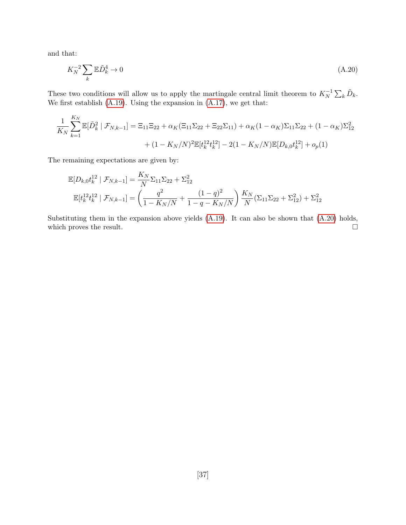and that:

<span id="page-38-0"></span>
$$
K_N^{-2} \sum_k \mathbb{E}\tilde{D}_k^4 \to 0 \tag{A.20}
$$

These two conditions will allow us to apply the martingale central limit theorem to  $K_N^{-1} \sum_k \tilde{D}_k$ . We first establish  $(A.19)$ . Using the expansion in  $(A.17)$ , we get that:

$$
\frac{1}{K_N} \sum_{k=1}^{K_N} \mathbb{E}[\tilde{D}_k^2 | \mathcal{F}_{N,k-1}] = \Xi_{11} \Xi_{22} + \alpha_K (\Xi_{11} \Sigma_{22} + \Xi_{22} \Sigma_{11}) + \alpha_K (1 - \alpha_K) \Sigma_{11} \Sigma_{22} + (1 - \alpha_K) \Sigma_{12}^2
$$

$$
+ (1 - K_N/N)^2 \mathbb{E}[t_k^{12} t_k^{12}] - 2(1 - K_N/N) \mathbb{E}[D_{k,0} t_k^{12}] + o_p(1)
$$

The remaining expectations are given by:

$$
\mathbb{E}[D_{k,0}t_k^{12} | \mathcal{F}_{N,k-1}] = \frac{K_N}{N} \Sigma_{11} \Sigma_{22} + \Sigma_{12}^2
$$
  

$$
\mathbb{E}[t_k^{12}t_k^{12} | \mathcal{F}_{N,k-1}] = \left(\frac{q^2}{1 - K_N/N} + \frac{(1-q)^2}{1 - q - K_N/N}\right) \frac{K_N}{N} (\Sigma_{11} \Sigma_{22} + \Sigma_{12}^2) + \Sigma_{12}^2
$$

Substituting them in the expansion above yields [\(A.19\)](#page-37-0). It can also be shown that [\(A.20\)](#page-38-0) holds, which proves the result.  $\Box$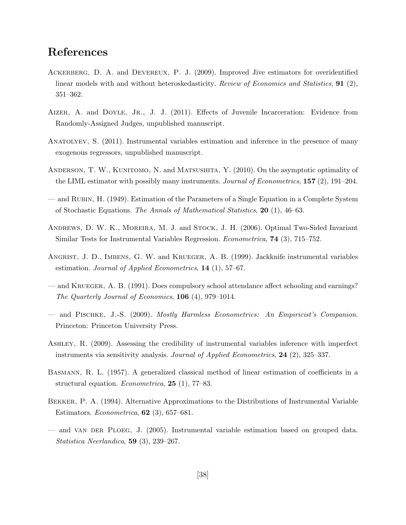## References

- <span id="page-39-6"></span>Ackerberg, D. A. and Devereux, P. J. (2009). Improved Jive estimators for overidentified linear models with and without heteroskedasticity. Review of Economics and Statistics, 91 (2), 351–362.
- <span id="page-39-4"></span>AIZER, A. and DOYLE, J.R., J. J. (2011). Effects of Juvenile Incarceration: Evidence from Randomly-Assigned Judges, unpublished manuscript.
- <span id="page-39-3"></span>Anatolyev, S. (2011). Instrumental variables estimation and inference in the presence of many exogenous regressors, unpublished manuscript.
- <span id="page-39-1"></span>ANDERSON, T. W., KUNITOMO, N. and MATSUSHITA, Y. (2010). On the asymptotic optimality of the LIML estimator with possibly many instruments. Journal of Econometrics,  $157$  (2), 191–204.
- <span id="page-39-10"></span>— and Rubin, H. (1949). Estimation of the Parameters of a Single Equation in a Complete System of Stochastic Equations. The Annals of Mathematical Statistics,  $20$  (1), 46–63.
- <span id="page-39-8"></span>Andrews, D. W. K., Moreira, M. J. and Stock, J. H. (2006). Optimal Two-Sided Invariant Similar Tests for Instrumental Variables Regression. Econometrica, 74 (3), 715–752.
- <span id="page-39-2"></span>Angrist, J. D., Imbens, G. W. and Krueger, A. B. (1999). Jackknife instrumental variables estimation. Journal of Applied Econometrics, 14 (1), 57–67.
- <span id="page-39-5"></span>— and Krueger, A. B. (1991). Does compulsory school attendance affect schooling and earnings? The Quarterly Journal of Economics, 106 (4), 979–1014.
- <span id="page-39-11"></span>— and Pischke, J.-S. (2009). Mostly Harmless Econometrics: An Empiricist's Companion. Princeton: Princeton University Press.
- <span id="page-39-7"></span>Ashley, R. (2009). Assessing the credibility of instrumental variables inference with imperfect instruments via sensitivity analysis. Journal of Applied Econometrics, 24 (2), 325–337.
- <span id="page-39-9"></span>Basmann, R. L. (1957). A generalized classical method of linear estimation of coefficients in a structural equation. Econometrica, 25 (1), 77–83.
- <span id="page-39-0"></span>Bekker, P. A. (1994). Alternative Approximations to the Distributions of Instrumental Variable Estimators. Econometrica, 62 (3), 657–681.
- <span id="page-39-12"></span>— and VAN DER PLOEG, J. (2005). Instrumental variable estimation based on grouped data. Statistica Neerlandica, 59 (3), 239–267.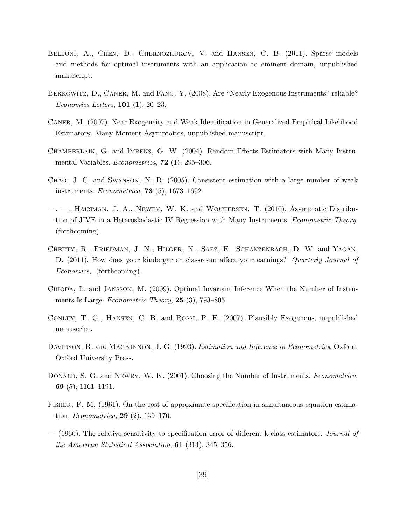- <span id="page-40-6"></span>BELLONI, A., CHEN, D., CHERNOZHUKOV, V. and HANSEN, C. B. (2011). Sparse models and methods for optimal instruments with an application to eminent domain, unpublished manuscript.
- <span id="page-40-10"></span>Berkowitz, D., Caner, M. and Fang, Y. (2008). Are "Nearly Exogenous Instruments" reliable? Economics Letters, 101 (1), 20–23.
- <span id="page-40-9"></span>Caner, M. (2007). Near Exogeneity and Weak Identification in Generalized Empirical Likelihood Estimators: Many Moment Asymptotics, unpublished manuscript.
- <span id="page-40-0"></span>Chamberlain, G. and Imbens, G. W. (2004). Random Effects Estimators with Many Instrumental Variables. Econometrica, **72** (1), 295-306.
- <span id="page-40-1"></span>Chao, J. C. and Swanson, N. R. (2005). Consistent estimation with a large number of weak instruments. Econometrica, 73 (5), 1673–1692.
- <span id="page-40-5"></span> $\leftarrow$ ,  $\leftarrow$ , HAUSMAN, J. A., NEWEY, W. K. and WOUTERSEN, T. (2010). Asymptotic Distribution of JIVE in a Heteroskedastic IV Regression with Many Instruments. Econometric Theory, (forthcoming).
- <span id="page-40-4"></span>Chetty, R., Friedman, J. N., Hilger, N., Saez, E., Schanzenbach, D. W. and Yagan, D. (2011). How does your kindergarten classroom affect your earnings? Quarterly Journal of Economics, (forthcoming).
- <span id="page-40-2"></span>Chioda, L. and Jansson, M. (2009). Optimal Invariant Inference When the Number of Instruments Is Large. *Econometric Theory*, **25** (3), 793–805.
- <span id="page-40-11"></span>Conley, T. G., Hansen, C. B. and Rossi, P. E. (2007). Plausibly Exogenous, unpublished manuscript.
- <span id="page-40-12"></span>DAVIDSON, R. and MACKINNON, J. G. (1993). *Estimation and Inference in Econometrics*. Oxford: Oxford University Press.
- <span id="page-40-3"></span>DONALD, S. G. and NEWEY, W. K. (2001). Choosing the Number of Instruments. *Econometrica*, 69 (5), 1161–1191.
- <span id="page-40-7"></span>Fisher, F. M. (1961). On the cost of approximate specification in simultaneous equation estimation. Econometrica, 29 (2), 139–170.
- <span id="page-40-8"></span>— (1966). The relative sensitivity to specification error of different k-class estimators. *Journal of* the American Statistical Association, 61 (314), 345–356.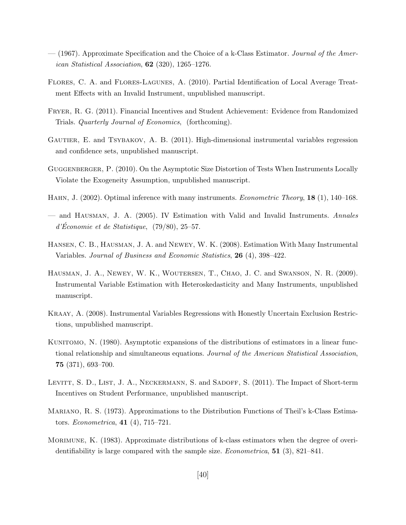- <span id="page-41-8"></span> $-$  (1967). Approximate Specification and the Choice of a k-Class Estimator. Journal of the American Statistical Association,  $62$  (320), 1265–1276.
- <span id="page-41-12"></span>Flores, C. A. and Flores-Lagunes, A. (2010). Partial Identification of Local Average Treatment Effects with an Invalid Instrument, unpublished manuscript.
- <span id="page-41-4"></span>Fryer, R. G. (2011). Financial Incentives and Student Achievement: Evidence from Randomized Trials. Quarterly Journal of Economics, (forthcoming).
- <span id="page-41-7"></span>GAUTIER, E. and TSYBAKOV, A. B. (2011). High-dimensional instrumental variables regression and confidence sets, unpublished manuscript.
- <span id="page-41-9"></span>Guggenberger, P. (2010). On the Asymptotic Size Distortion of Tests When Instruments Locally Violate the Exogeneity Assumption, unpublished manuscript.
- <span id="page-41-2"></span>HAHN, J. (2002). Optimal inference with many instruments. *Econometric Theory*, **18** (1), 140–168.
- <span id="page-41-10"></span>— and Hausman, J. A. (2005). IV Estimation with Valid and Invalid Instruments. Annales  $d'Economie et de Statistique, (79/80), 25–57.$
- <span id="page-41-3"></span>Hansen, C. B., Hausman, J. A. and Newey, W. K. (2008). Estimation With Many Instrumental Variables. Journal of Business and Economic Statistics, 26 (4), 398–422.
- <span id="page-41-6"></span>Hausman, J. A., Newey, W. K., Woutersen, T., Chao, J. C. and Swanson, N. R. (2009). Instrumental Variable Estimation with Heteroskedasticity and Many Instruments, unpublished manuscript.
- <span id="page-41-11"></span>Kraay, A. (2008). Instrumental Variables Regressions with Honestly Uncertain Exclusion Restrictions, unpublished manuscript.
- <span id="page-41-0"></span>KUNITOMO, N. (1980). Asymptotic expansions of the distributions of estimators in a linear functional relationship and simultaneous equations. Journal of the American Statistical Association, 75 (371), 693–700.
- <span id="page-41-5"></span>LEVITT, S. D., LIST, J. A., NECKERMANN, S. and SADOFF, S. (2011). The Impact of Short-term Incentives on Student Performance, unpublished manuscript.
- <span id="page-41-13"></span>Mariano, R. S. (1973). Approximations to the Distribution Functions of Theil's k-Class Estimators. Econometrica, 41 (4), 715–721.
- <span id="page-41-1"></span>MORIMUNE, K. (1983). Approximate distributions of k-class estimators when the degree of overidentifiability is large compared with the sample size. Econometrica, 51 (3), 821–841.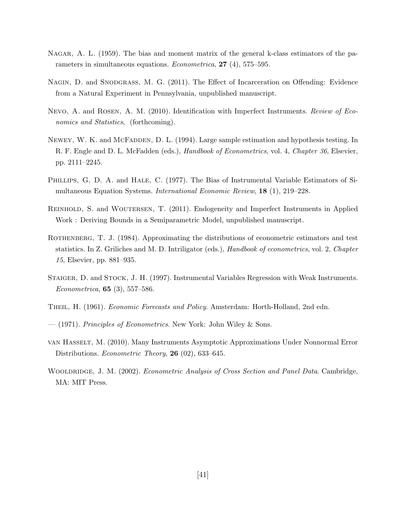- <span id="page-42-6"></span>Nagar, A. L. (1959). The bias and moment matrix of the general k-class estimators of the parameters in simultaneous equations. Econometrica, 27 (4), 575–595.
- <span id="page-42-2"></span>NAGIN, D. and SNODGRASS, M. G. (2011). The Effect of Incarceration on Offending: Evidence from a Natural Experiment in Pennsylvania, unpublished manuscript.
- <span id="page-42-3"></span>Nevo, A. and Rosen, A. M. (2010). Identification with Imperfect Instruments. Review of Economics and Statistics, (forthcoming).
- <span id="page-42-11"></span>NEWEY, W. K. and MCFADDEN, D. L. (1994). Large sample estimation and hypothesis testing. In R. F. Engle and D. L. McFadden (eds.), *Handbook of Econometrics*, vol. 4, *Chapter 36*, Elsevier, pp. 2111–2245.
- <span id="page-42-1"></span>Phillips, G. D. A. and Hale, C. (1977). The Bias of Instrumental Variable Estimators of Simultaneous Equation Systems. International Economic Review, 18 (1), 219–228.
- <span id="page-42-4"></span>Reinhold, S. and Woutersen, T. (2011). Endogeneity and Imperfect Instruments in Applied Work : Deriving Bounds in a Semiparametric Model, unpublished manuscript.
- <span id="page-42-5"></span>ROTHENBERG, T. J. (1984). Approximating the distributions of econometric estimators and test statistics. In Z. Griliches and M. D. Intriligator (eds.), Handbook of econometrics, vol. 2, Chapter 15, Elsevier, pp. 881–935.
- <span id="page-42-0"></span>Staiger, D. and Stock, J. H. (1997). Instrumental Variables Regression with Weak Instruments. Econometrica, 65 (3), 557–586.
- <span id="page-42-7"></span>Theil, H. (1961). Economic Forecasts and Policy. Amsterdam: Horth-Holland, 2nd edn.
- <span id="page-42-8"></span>— (1971). Principles of Econometrics. New York: John Wiley & Sons.
- <span id="page-42-10"></span>van Hasselt, M. (2010). Many Instruments Asymptotic Approximations Under Nonnormal Error Distributions. *Econometric Theory*, **26** (02), 633–645.
- <span id="page-42-9"></span>WOOLDRIDGE, J. M. (2002). Econometric Analysis of Cross Section and Panel Data. Cambridge, MA: MIT Press.